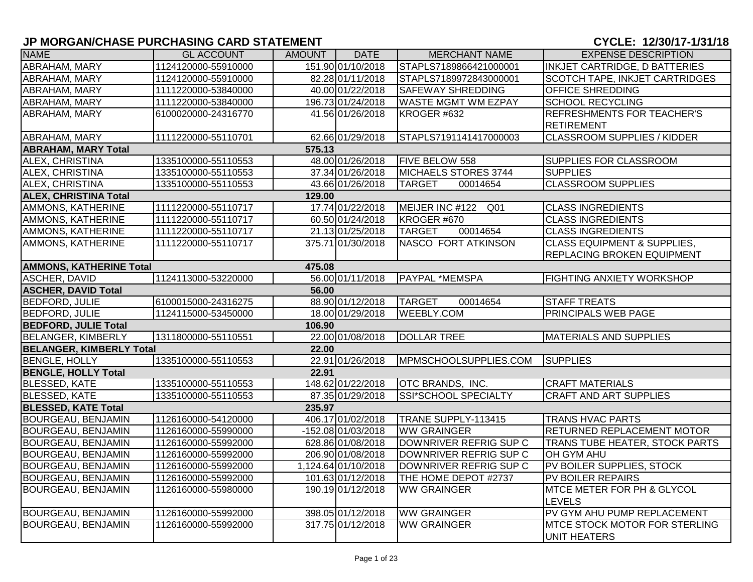| <b>NAME</b>                              | <b>GL ACCOUNT</b>   | AMOUNT | <b>DATE</b>          | <b>MERCHANT NAME</b>        | <b>EXPENSE DESCRIPTION</b>             |  |  |  |
|------------------------------------------|---------------------|--------|----------------------|-----------------------------|----------------------------------------|--|--|--|
| ABRAHAM, MARY                            | 1124120000-55910000 |        | 151.90 01/10/2018    | STAPLS7189866421000001      | INKJET CARTRIDGE, D BATTERIES          |  |  |  |
| ABRAHAM, MARY                            | 1124120000-55910000 |        | 82.28 01/11/2018     | STAPLS7189972843000001      | SCOTCH TAPE, INKJET CARTRIDGES         |  |  |  |
| ABRAHAM, MARY                            | 1111220000-53840000 |        | 40.00 01/22/2018     | <b>SAFEWAY SHREDDING</b>    | OFFICE SHREDDING                       |  |  |  |
| ABRAHAM, MARY                            | 1111220000-53840000 |        | 196.73 01/24/2018    | <b>WASTE MGMT WM EZPAY</b>  | <b>SCHOOL RECYCLING</b>                |  |  |  |
| ABRAHAM, MARY                            | 6100020000-24316770 |        | 41.56 01/26/2018     | KROGER #632                 | REFRESHMENTS FOR TEACHER'S             |  |  |  |
|                                          |                     |        |                      |                             | <b>RETIREMENT</b>                      |  |  |  |
| ABRAHAM, MARY                            | 1111220000-55110701 |        | 62.66 01/29/2018     | STAPLS7191141417000003      | <b>CLASSROOM SUPPLIES / KIDDER</b>     |  |  |  |
| <b>ABRAHAM, MARY Total</b>               |                     | 575.13 |                      |                             |                                        |  |  |  |
| ALEX, CHRISTINA                          | 1335100000-55110553 |        | 48.00 01/26/2018     | FIVE BELOW 558              | SUPPLIES FOR CLASSROOM                 |  |  |  |
| <b>ALEX, CHRISTINA</b>                   | 1335100000-55110553 |        | 37.34 01/26/2018     | MICHAELS STORES 3744        | <b>SUPPLIES</b>                        |  |  |  |
| ALEX, CHRISTINA                          | 1335100000-55110553 |        | 43.66 01/26/2018     | <b>TARGET</b><br>00014654   | <b>CLASSROOM SUPPLIES</b>              |  |  |  |
| <b>ALEX, CHRISTINA Total</b>             |                     | 129.00 |                      |                             |                                        |  |  |  |
| AMMONS, KATHERINE                        | 1111220000-55110717 |        | 17.74 01/22/2018     | MEIJER INC #122<br>Q01      | <b>CLASS INGREDIENTS</b>               |  |  |  |
| AMMONS, KATHERINE                        | 1111220000-55110717 |        | 60.50 01/24/2018     | KROGER #670                 | <b>CLASS INGREDIENTS</b>               |  |  |  |
| AMMONS, KATHERINE                        | 1111220000-55110717 |        | 21.13 01/25/2018     | <b>TARGET</b><br>00014654   | <b>CLASS INGREDIENTS</b>               |  |  |  |
| AMMONS, KATHERINE                        | 1111220000-55110717 |        | 375.71 01/30/2018    | <b>NASCO FORT ATKINSON</b>  | <b>CLASS EQUIPMENT &amp; SUPPLIES,</b> |  |  |  |
|                                          |                     |        |                      |                             | REPLACING BROKEN EQUIPMENT             |  |  |  |
| <b>AMMONS, KATHERINE Total</b><br>475.08 |                     |        |                      |                             |                                        |  |  |  |
| <b>ASCHER, DAVID</b>                     | 1124113000-53220000 |        | 56.00 01/11/2018     | <b>PAYPAL *MEMSPA</b>       | FIGHTING ANXIETY WORKSHOP              |  |  |  |
| <b>ASCHER, DAVID Total</b>               |                     | 56.00  |                      |                             |                                        |  |  |  |
| <b>BEDFORD, JULIE</b>                    | 6100015000-24316275 |        | 88.90 01/12/2018     | <b>TARGET</b><br>00014654   | <b>STAFF TREATS</b>                    |  |  |  |
| <b>BEDFORD, JULIE</b>                    | 1124115000-53450000 |        | 18.00 01/29/2018     | <b>WEEBLY.COM</b>           | PRINCIPALS WEB PAGE                    |  |  |  |
| <b>BEDFORD, JULIE Total</b>              |                     | 106.90 |                      |                             |                                        |  |  |  |
| <b>BELANGER, KIMBERLY</b>                | 1311800000-55110551 |        | 22.00 01/08/2018     | <b>DOLLAR TREE</b>          | <b>MATERIALS AND SUPPLIES</b>          |  |  |  |
| <b>BELANGER, KIMBERLY Total</b>          |                     | 22.00  |                      |                             |                                        |  |  |  |
| <b>BENGLE, HOLLY</b>                     | 1335100000-55110553 |        | 22.91 01/26/2018     | MPMSCHOOLSUPPLIES.COM       | <b>SUPPLIES</b>                        |  |  |  |
| <b>BENGLE, HOLLY Total</b>               |                     | 22.91  |                      |                             |                                        |  |  |  |
| <b>BLESSED, KATE</b>                     | 1335100000-55110553 |        | 148.62 01/22/2018    | OTC BRANDS, INC.            | <b>CRAFT MATERIALS</b>                 |  |  |  |
| <b>BLESSED, KATE</b>                     | 1335100000-55110553 |        | 87.35 01/29/2018     | <b>SSI*SCHOOL SPECIALTY</b> | <b>CRAFT AND ART SUPPLIES</b>          |  |  |  |
| <b>BLESSED, KATE Total</b>               |                     | 235.97 |                      |                             |                                        |  |  |  |
| <b>BOURGEAU, BENJAMIN</b>                | 1126160000-54120000 |        | 406.17 01/02/2018    | TRANE SUPPLY-113415         | <b>TRANS HVAC PARTS</b>                |  |  |  |
| BOURGEAU, BENJAMIN                       | 1126160000-55990000 |        | $-152.08 01/03/2018$ | <b>WW GRAINGER</b>          | RETURNED REPLACEMENT MOTOR             |  |  |  |
| <b>BOURGEAU, BENJAMIN</b>                | 1126160000-55992000 |        | 628.86 01/08/2018    | DOWNRIVER REFRIG SUP C      | TRANS TUBE HEATER, STOCK PARTS         |  |  |  |
| BOURGEAU, BENJAMIN                       | 1126160000-55992000 |        | 206.90 01/08/2018    | DOWNRIVER REFRIG SUP C      | OH GYM AHU                             |  |  |  |
| BOURGEAU, BENJAMIN                       | 1126160000-55992000 |        | 1,124.64 01/10/2018  | DOWNRIVER REFRIG SUP C      | PV BOILER SUPPLIES, STOCK              |  |  |  |
| <b>BOURGEAU, BENJAMIN</b>                | 1126160000-55992000 |        | 101.63 01/12/2018    | THE HOME DEPOT #2737        | PV BOILER REPAIRS                      |  |  |  |
| <b>BOURGEAU, BENJAMIN</b>                | 1126160000-55980000 |        | 190.1901/12/2018     | <b>WW GRAINGER</b>          | MTCE METER FOR PH & GLYCOL             |  |  |  |
|                                          |                     |        |                      |                             | <b>LEVELS</b>                          |  |  |  |
| <b>BOURGEAU, BENJAMIN</b>                | 1126160000-55992000 |        | 398.05 01/12/2018    | <b>WW GRAINGER</b>          | PV GYM AHU PUMP REPLACEMENT            |  |  |  |
| BOURGEAU, BENJAMIN                       | 1126160000-55992000 |        | 317.75 01/12/2018    | <b>WW GRAINGER</b>          | MTCE STOCK MOTOR FOR STERLING          |  |  |  |
|                                          |                     |        |                      |                             | <b>UNIT HEATERS</b>                    |  |  |  |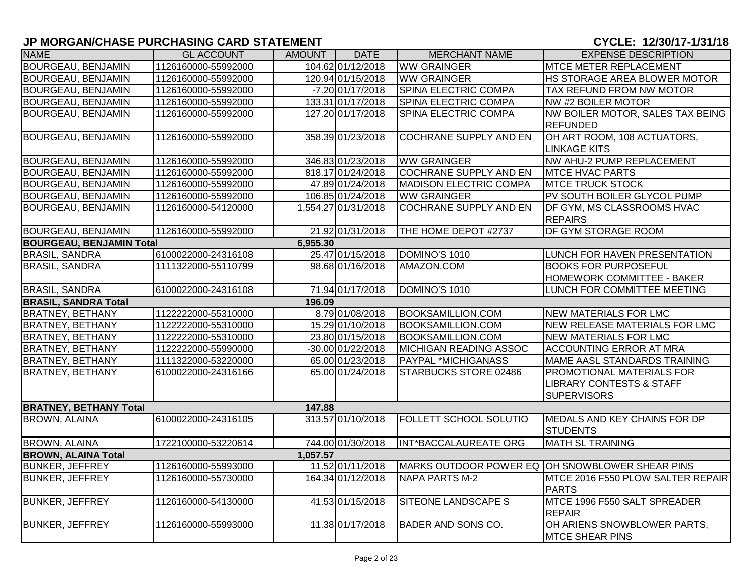# **JP MORGAN/CHASE PURCHASING CARD STATEMENT CHARGE 2010 12:00:00 THE 2010 12:00:00 THE 2010 12:00:00 THE 2010 12:00:00 THE 2010 12:00:00 THE 2010 12:00:00 THE 2010 12:00:00 THE 2010 12:00:00 THE 2010 12:00:00 THE 2010 12:**

| <b>NAME</b>                     | <b>GL ACCOUNT</b>   | <b>AMOUNT</b> | <b>DATE</b>         | <b>MERCHANT NAME</b>          | <b>EXPENSE DESCRIPTION</b>                                                             |
|---------------------------------|---------------------|---------------|---------------------|-------------------------------|----------------------------------------------------------------------------------------|
| <b>BOURGEAU, BENJAMIN</b>       | 1126160000-55992000 |               | 104.62 01/12/2018   | <b>WW GRAINGER</b>            | MTCE METER REPLACEMENT                                                                 |
| <b>BOURGEAU, BENJAMIN</b>       | 1126160000-55992000 |               | 120.94 01/15/2018   | <b>WW GRAINGER</b>            | HS STORAGE AREA BLOWER MOTOR                                                           |
| <b>BOURGEAU, BENJAMIN</b>       | 1126160000-55992000 |               | $-7.20 01/17/2018$  | SPINA ELECTRIC COMPA          | TAX REFUND FROM NW MOTOR                                                               |
| <b>BOURGEAU, BENJAMIN</b>       | 1126160000-55992000 |               | 133.31 01/17/2018   | SPINA ELECTRIC COMPA          | NW #2 BOILER MOTOR                                                                     |
| BOURGEAU, BENJAMIN              | 1126160000-55992000 |               | 127.20 01/17/2018   | SPINA ELECTRIC COMPA          | NW BOILER MOTOR, SALES TAX BEING<br><b>REFUNDED</b>                                    |
| BOURGEAU, BENJAMIN              | 1126160000-55992000 |               | 358.39 01/23/2018   | <b>COCHRANE SUPPLY AND EN</b> | OH ART ROOM, 108 ACTUATORS,<br><b>LINKAGE KITS</b>                                     |
| <b>BOURGEAU, BENJAMIN</b>       | 1126160000-55992000 |               | 346.83 01/23/2018   | <b>WW GRAINGER</b>            | NW AHU-2 PUMP REPLACEMENT                                                              |
| <b>BOURGEAU, BENJAMIN</b>       | 1126160000-55992000 |               | 818.17 01/24/2018   | <b>COCHRANE SUPPLY AND EN</b> | <b>MTCE HVAC PARTS</b>                                                                 |
| BOURGEAU, BENJAMIN              | 1126160000-55992000 |               | 47.89 01/24/2018    | <b>MADISON ELECTRIC COMPA</b> | <b>MTCE TRUCK STOCK</b>                                                                |
| <b>BOURGEAU, BENJAMIN</b>       | 1126160000-55992000 |               | 106.85 01/24/2018   | <b>WW GRAINGER</b>            | PV SOUTH BOILER GLYCOL PUMP                                                            |
| BOURGEAU, BENJAMIN              | 1126160000-54120000 |               | 1,554.27 01/31/2018 | COCHRANE SUPPLY AND EN        | DF GYM, MS CLASSROOMS HVAC<br><b>REPAIRS</b>                                           |
| <b>BOURGEAU, BENJAMIN</b>       | 1126160000-55992000 |               | 21.92 01/31/2018    | THE HOME DEPOT #2737          | DF GYM STORAGE ROOM                                                                    |
| <b>BOURGEAU, BENJAMIN Total</b> |                     | 6,955.30      |                     |                               |                                                                                        |
| <b>BRASIL, SANDRA</b>           | 6100022000-24316108 |               | 25.47 01/15/2018    | DOMINO'S 1010                 | LUNCH FOR HAVEN PRESENTATION                                                           |
| <b>BRASIL, SANDRA</b>           | 1111322000-55110799 |               | 98.68 01/16/2018    | AMAZON.COM                    | <b>BOOKS FOR PURPOSEFUL</b>                                                            |
|                                 |                     |               |                     |                               | HOMEWORK COMMITTEE - BAKER                                                             |
| <b>BRASIL, SANDRA</b>           | 6100022000-24316108 |               | 71.94 01/17/2018    | DOMINO'S 1010                 | LUNCH FOR COMMITTEE MEETING                                                            |
| <b>BRASIL, SANDRA Total</b>     |                     | 196.09        |                     |                               |                                                                                        |
| <b>BRATNEY, BETHANY</b>         | 1122222000-55310000 |               | 8.79 01/08/2018     | <b>BOOKSAMILLION.COM</b>      | <b>NEW MATERIALS FOR LMC</b>                                                           |
| <b>BRATNEY, BETHANY</b>         | 1122222000-55310000 |               | 15.29 01/10/2018    | <b>BOOKSAMILLION.COM</b>      | <b>NEW RELEASE MATERIALS FOR LMC</b>                                                   |
| <b>BRATNEY, BETHANY</b>         | 1122222000-55310000 |               | 23.80 01/15/2018    | <b>BOOKSAMILLION.COM</b>      | <b>NEW MATERIALS FOR LMC</b>                                                           |
| <b>BRATNEY, BETHANY</b>         | 1122222000-55990000 |               | -30.00 01/22/2018   | <b>MICHIGAN READING ASSOC</b> | <b>ACCOUNTING ERROR AT MRA</b>                                                         |
| <b>BRATNEY, BETHANY</b>         | 1111322000-53220000 |               | 65.00 01/23/2018    | PAYPAL *MICHIGANASS           | MAME AASL STANDARDS TRAINING                                                           |
| <b>BRATNEY, BETHANY</b>         | 6100022000-24316166 |               | 65.00 01/24/2018    | STARBUCKS STORE 02486         | PROMOTIONAL MATERIALS FOR<br><b>LIBRARY CONTESTS &amp; STAFF</b><br><b>SUPERVISORS</b> |
| <b>BRATNEY, BETHANY Total</b>   |                     | 147.88        |                     |                               |                                                                                        |
| <b>BROWN, ALAINA</b>            | 6100022000-24316105 |               | 313.57 01/10/2018   | FOLLETT SCHOOL SOLUTIO        | MEDALS AND KEY CHAINS FOR DP<br><b>STUDENTS</b>                                        |
| <b>BROWN, ALAINA</b>            | 1722100000-53220614 |               | 744.00 01/30/2018   | INT*BACCALAUREATE ORG         | <b>MATH SL TRAINING</b>                                                                |
| <b>BROWN, ALAINA Total</b>      |                     | 1,057.57      |                     |                               |                                                                                        |
| <b>BUNKER, JEFFREY</b>          | 1126160000-55993000 |               | 11.52 01/11/2018    |                               | MARKS OUTDOOR POWER EQ OH SNOWBLOWER SHEAR PINS                                        |
| <b>BUNKER, JEFFREY</b>          | 1126160000-55730000 |               | 164.34 01/12/2018   | <b>NAPA PARTS M-2</b>         | MTCE 2016 F550 PLOW SALTER REPAIR<br><b>PARTS</b>                                      |
| <b>BUNKER, JEFFREY</b>          |                     |               |                     |                               |                                                                                        |
|                                 | 1126160000-54130000 |               | 41.53 01/15/2018    | SITEONE LANDSCAPE S           | MTCE 1996 F550 SALT SPREADER<br><b>REPAIR</b>                                          |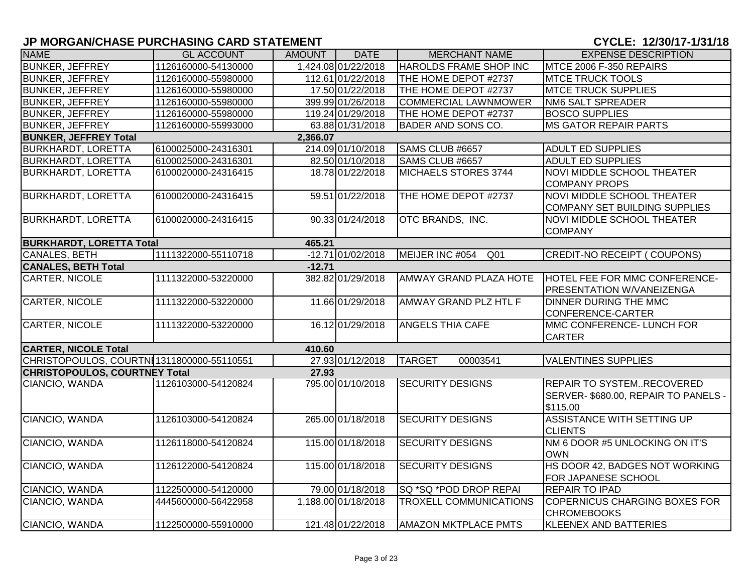| <b>NAME</b>                                | <b>GL ACCOUNT</b>   | <b>AMOUNT</b> | <b>DATE</b>         | <b>MERCHANT NAME</b>               | <b>EXPENSE DESCRIPTION</b>                                                          |
|--------------------------------------------|---------------------|---------------|---------------------|------------------------------------|-------------------------------------------------------------------------------------|
| <b>BUNKER, JEFFREY</b>                     | 1126160000-54130000 |               | 1,424.08 01/22/2018 | HAROLDS FRAME SHOP INC             | MTCE 2006 F-350 REPAIRS                                                             |
| <b>BUNKER, JEFFREY</b>                     | 1126160000-55980000 |               | 112.61 01/22/2018   | THE HOME DEPOT #2737               | <b>MTCE TRUCK TOOLS</b>                                                             |
| <b>BUNKER, JEFFREY</b>                     | 1126160000-55980000 |               | 17.50 01/22/2018    | THE HOME DEPOT #2737               | <b>MTCE TRUCK SUPPLIES</b>                                                          |
| <b>BUNKER, JEFFREY</b>                     | 1126160000-55980000 |               | 399.99 01/26/2018   | <b>COMMERCIAL LAWNMOWER</b>        | <b>NM6 SALT SPREADER</b>                                                            |
| <b>BUNKER, JEFFREY</b>                     | 1126160000-55980000 |               | 119.24 01/29/2018   | THE HOME DEPOT #2737               | <b>BOSCO SUPPLIES</b>                                                               |
| <b>BUNKER, JEFFREY</b>                     | 1126160000-55993000 |               | 63.88 01/31/2018    | BADER AND SONS CO.                 | <b>MS GATOR REPAIR PARTS</b>                                                        |
| <b>BUNKER, JEFFREY Total</b>               |                     | 2,366.07      |                     |                                    |                                                                                     |
| <b>BURKHARDT, LORETTA</b>                  | 6100025000-24316301 |               | 214.09 01/10/2018   | SAMS CLUB #6657                    | <b>ADULT ED SUPPLIES</b>                                                            |
| <b>BURKHARDT, LORETTA</b>                  | 6100025000-24316301 |               | 82.50 01/10/2018    | SAMS CLUB #6657                    | <b>ADULT ED SUPPLIES</b>                                                            |
| <b>BURKHARDT, LORETTA</b>                  | 6100020000-24316415 |               | 18.78 01/22/2018    | MICHAELS STORES 3744               | <b>NOVI MIDDLE SCHOOL THEATER</b><br><b>COMPANY PROPS</b>                           |
| <b>BURKHARDT, LORETTA</b>                  | 6100020000-24316415 |               | 59.51 01/22/2018    | THE HOME DEPOT #2737               | NOVI MIDDLE SCHOOL THEATER<br><b>COMPANY SET BUILDING SUPPLIES</b>                  |
| <b>BURKHARDT, LORETTA</b>                  | 6100020000-24316415 |               | 90.33 01/24/2018    | OTC BRANDS, INC.                   | NOVI MIDDLE SCHOOL THEATER<br><b>COMPANY</b>                                        |
| <b>BURKHARDT, LORETTA Total</b>            |                     | 465.21        |                     |                                    |                                                                                     |
| <b>CANALES, BETH</b>                       | 1111322000-55110718 |               | $-12.71 01/02/2018$ | MEIJER INC #054<br>Q <sub>01</sub> | <b>CREDIT-NO RECEIPT (COUPONS)</b>                                                  |
| <b>CANALES, BETH Total</b>                 |                     | $-12.71$      |                     |                                    |                                                                                     |
| <b>CARTER, NICOLE</b>                      | 1111322000-53220000 |               | 382.82 01/29/2018   | AMWAY GRAND PLAZA HOTE             | HOTEL FEE FOR MMC CONFERENCE-<br>PRESENTATION W/VANEIZENGA                          |
| <b>CARTER, NICOLE</b>                      | 1111322000-53220000 |               | 11.66 01/29/2018    | AMWAY GRAND PLZ HTL F              | <b>DINNER DURING THE MMC</b><br>CONFERENCE-CARTER                                   |
| CARTER, NICOLE                             | 1111322000-53220000 |               | 16.12 01/29/2018    | <b>ANGELS THIA CAFE</b>            | MMC CONFERENCE- LUNCH FOR<br><b>CARTER</b>                                          |
| <b>CARTER, NICOLE Total</b>                |                     | 410.60        |                     |                                    |                                                                                     |
| CHRISTOPOULOS, COURTNI 1311800000-55110551 |                     |               | 27.93 01/12/2018    | <b>TARGET</b><br>00003541          | <b>VALENTINES SUPPLIES</b>                                                          |
| <b>CHRISTOPOULOS, COURTNEY Total</b>       |                     | 27.93         |                     |                                    |                                                                                     |
| CIANCIO, WANDA                             | 1126103000-54120824 |               | 795.00 01/10/2018   | <b>SECURITY DESIGNS</b>            | <b>REPAIR TO SYSTEMRECOVERED</b><br>SERVER-\$680.00, REPAIR TO PANELS -<br>\$115.00 |
| CIANCIO, WANDA                             | 1126103000-54120824 |               | 265.00 01/18/2018   | <b>SECURITY DESIGNS</b>            | ASSISTANCE WITH SETTING UP<br><b>CLIENTS</b>                                        |
| CIANCIO, WANDA                             | 1126118000-54120824 |               | 115.00 01/18/2018   | <b>SECURITY DESIGNS</b>            | NM 6 DOOR #5 UNLOCKING ON IT'S<br><b>OWN</b>                                        |
| CIANCIO, WANDA                             | 1126122000-54120824 |               | 115.00 01/18/2018   | <b>SECURITY DESIGNS</b>            | HS DOOR 42, BADGES NOT WORKING<br>FOR JAPANESE SCHOOL                               |
| CIANCIO, WANDA                             | 1122500000-54120000 |               | 79.00 01/18/2018    | SQ *SQ *POD DROP REPAI             | <b>REPAIR TO IPAD</b>                                                               |
| CIANCIO, WANDA                             | 4445600000-56422958 |               | 1,188.00 01/18/2018 | <b>TROXELL COMMUNICATIONS</b>      | COPERNICUS CHARGING BOXES FOR<br><b>CHROMEBOOKS</b>                                 |
| CIANCIO, WANDA                             | 1122500000-55910000 |               | 121.48 01/22/2018   | <b>AMAZON MKTPLACE PMTS</b>        | <b>KLEENEX AND BATTERIES</b>                                                        |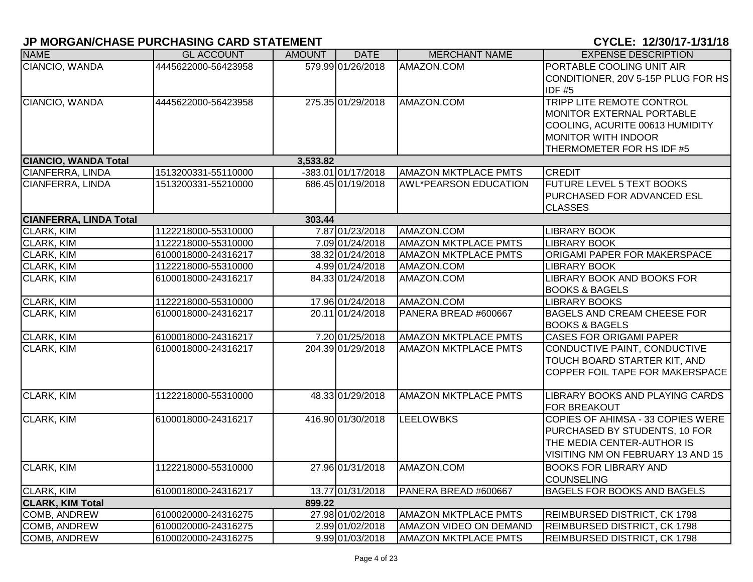| <b>NAME</b>                   | <b>GL ACCOUNT</b>   | <b>AMOUNT</b> | <b>DATE</b>        | <b>MERCHANT NAME</b>         | <b>EXPENSE DESCRIPTION</b>          |
|-------------------------------|---------------------|---------------|--------------------|------------------------------|-------------------------------------|
| CIANCIO, WANDA                | 4445622000-56423958 |               | 579.99 01/26/2018  | AMAZON.COM                   | PORTABLE COOLING UNIT AIR           |
|                               |                     |               |                    |                              | CONDITIONER, 20V 5-15P PLUG FOR HS  |
|                               |                     |               |                    |                              | <b>IDF #5</b>                       |
| CIANCIO, WANDA                | 4445622000-56423958 |               | 275.35 01/29/2018  | AMAZON.COM                   | TRIPP LITE REMOTE CONTROL           |
|                               |                     |               |                    |                              | MONITOR EXTERNAL PORTABLE           |
|                               |                     |               |                    |                              | COOLING, ACURITE 00613 HUMIDITY     |
|                               |                     |               |                    |                              | MONITOR WITH INDOOR                 |
|                               |                     |               |                    |                              | THERMOMETER FOR HS IDF #5           |
| <b>CIANCIO, WANDA Total</b>   |                     | 3,533.82      |                    |                              |                                     |
| <b>CIANFERRA, LINDA</b>       | 1513200331-55110000 |               | -383.01 01/17/2018 | <b>AMAZON MKTPLACE PMTS</b>  | <b>CREDIT</b>                       |
| CIANFERRA, LINDA              | 1513200331-55210000 |               | 686.45 01/19/2018  | <b>AWL*PEARSON EDUCATION</b> | <b>FUTURE LEVEL 5 TEXT BOOKS</b>    |
|                               |                     |               |                    |                              | PURCHASED FOR ADVANCED ESL          |
|                               |                     |               |                    |                              | <b>CLASSES</b>                      |
| <b>CIANFERRA, LINDA Total</b> |                     | 303.44        |                    |                              |                                     |
| <b>CLARK, KIM</b>             | 1122218000-55310000 |               | 7.87 01/23/2018    | AMAZON.COM                   | <b>LIBRARY BOOK</b>                 |
| <b>CLARK, KIM</b>             | 1122218000-55310000 |               | 7.09 01/24/2018    | <b>AMAZON MKTPLACE PMTS</b>  | <b>LIBRARY BOOK</b>                 |
| CLARK, KIM                    | 6100018000-24316217 |               | 38.32 01/24/2018   | AMAZON MKTPLACE PMTS         | ORIGAMI PAPER FOR MAKERSPACE        |
| <b>CLARK, KIM</b>             | 1122218000-55310000 |               | 4.99 01/24/2018    | AMAZON.COM                   | <b>LIBRARY BOOK</b>                 |
| <b>CLARK, KIM</b>             | 6100018000-24316217 |               | 84.33 01/24/2018   | AMAZON.COM                   | <b>LIBRARY BOOK AND BOOKS FOR</b>   |
|                               |                     |               |                    |                              | <b>BOOKS &amp; BAGELS</b>           |
| CLARK, KIM                    | 1122218000-55310000 |               | 17.96 01/24/2018   | AMAZON.COM                   | <b>LIBRARY BOOKS</b>                |
| <b>CLARK, KIM</b>             | 6100018000-24316217 |               | 20.11 01/24/2018   | PANERA BREAD #600667         | <b>BAGELS AND CREAM CHEESE FOR</b>  |
|                               |                     |               |                    |                              | <b>BOOKS &amp; BAGELS</b>           |
| <b>CLARK, KIM</b>             | 6100018000-24316217 |               | 7.20 01/25/2018    | <b>AMAZON MKTPLACE PMTS</b>  | <b>CASES FOR ORIGAMI PAPER</b>      |
| CLARK, KIM                    | 6100018000-24316217 |               | 204.39 01/29/2018  | AMAZON MKTPLACE PMTS         | CONDUCTIVE PAINT, CONDUCTIVE        |
|                               |                     |               |                    |                              | TOUCH BOARD STARTER KIT, AND        |
|                               |                     |               |                    |                              | COPPER FOIL TAPE FOR MAKERSPACE     |
|                               |                     |               |                    |                              |                                     |
| <b>CLARK, KIM</b>             | 1122218000-55310000 |               | 48.33 01/29/2018   | <b>AMAZON MKTPLACE PMTS</b>  | LIBRARY BOOKS AND PLAYING CARDS     |
|                               |                     |               |                    |                              | FOR BREAKOUT                        |
| CLARK, KIM                    | 6100018000-24316217 |               | 416.90 01/30/2018  | <b>LEELOWBKS</b>             | COPIES OF AHIMSA - 33 COPIES WERE   |
|                               |                     |               |                    |                              | PURCHASED BY STUDENTS, 10 FOR       |
|                               |                     |               |                    |                              | THE MEDIA CENTER-AUTHOR IS          |
|                               |                     |               |                    |                              | VISITING NM ON FEBRUARY 13 AND 15   |
| <b>CLARK, KIM</b>             | 1122218000-55310000 |               | 27.96 01/31/2018   | AMAZON.COM                   | <b>BOOKS FOR LIBRARY AND</b>        |
|                               |                     |               |                    |                              | <b>COUNSELING</b>                   |
| <b>CLARK, KIM</b>             | 6100018000-24316217 |               | 13.77 01/31/2018   | PANERA BREAD #600667         | <b>BAGELS FOR BOOKS AND BAGELS</b>  |
| <b>CLARK, KIM Total</b>       |                     | 899.22        |                    |                              |                                     |
| <b>COMB, ANDREW</b>           | 6100020000-24316275 |               | 27.98 01/02/2018   | <b>AMAZON MKTPLACE PMTS</b>  | <b>REIMBURSED DISTRICT, CK 1798</b> |
| <b>COMB, ANDREW</b>           | 6100020000-24316275 |               | 2.99 01/02/2018    | AMAZON VIDEO ON DEMAND       | <b>REIMBURSED DISTRICT, CK 1798</b> |
| <b>COMB, ANDREW</b>           | 6100020000-24316275 |               | 9.99 01/03/2018    | <b>AMAZON MKTPLACE PMTS</b>  | <b>REIMBURSED DISTRICT, CK 1798</b> |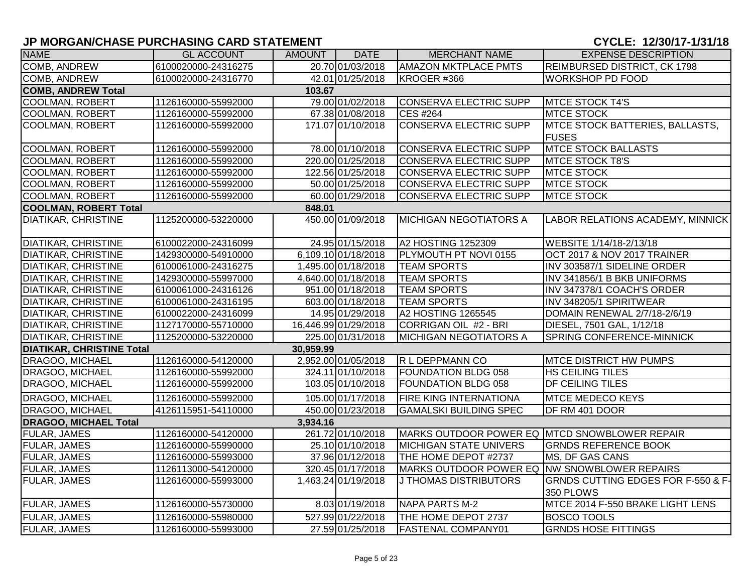# **JP MORGAN/CHASE PURCHASING CARD STATEMENT CHARGE 2010 12:00:00 THE 2010 12:00:00 THE 2010 12:00:00 THE 2010 12:00:00 THE 2010 12:00:00 THE 2010 12:00:00 THE 2010 12:00:00 THE 2010 12:00:00 THE 2010 12:00:00 THE 2010 12:**

| <b>NAME</b>                      | <b>GL ACCOUNT</b>   | AMOUNT    | <b>DATE</b>          | <b>MERCHANT NAME</b>                          | <b>EXPENSE DESCRIPTION</b>                      |
|----------------------------------|---------------------|-----------|----------------------|-----------------------------------------------|-------------------------------------------------|
| <b>COMB, ANDREW</b>              | 6100020000-24316275 |           | 20.70 01/03/2018     | <b>AMAZON MKTPLACE PMTS</b>                   | REIMBURSED DISTRICT, CK 1798                    |
| COMB, ANDREW                     | 6100020000-24316770 |           | 42.01 01/25/2018     | KROGER #366                                   | <b>WORKSHOP PD FOOD</b>                         |
| <b>COMB, ANDREW Total</b>        |                     | 103.67    |                      |                                               |                                                 |
| <b>COOLMAN, ROBERT</b>           | 1126160000-55992000 |           | 79.00 01/02/2018     | CONSERVA ELECTRIC SUPP                        | MTCE STOCK T4'S                                 |
| COOLMAN, ROBERT                  | 1126160000-55992000 |           | 67.38 01/08/2018     | <b>CES #264</b>                               | <b>MTCE STOCK</b>                               |
| COOLMAN, ROBERT                  | 1126160000-55992000 |           | 171.07 01/10/2018    | <b>CONSERVA ELECTRIC SUPP</b>                 | MTCE STOCK BATTERIES, BALLASTS,<br><b>FUSES</b> |
| <b>COOLMAN, ROBERT</b>           | 1126160000-55992000 |           | 78.00 01/10/2018     | CONSERVA ELECTRIC SUPP                        | <b>MTCE STOCK BALLASTS</b>                      |
| <b>COOLMAN, ROBERT</b>           | 1126160000-55992000 |           | 220.00 01/25/2018    | CONSERVA ELECTRIC SUPP                        | <b>MTCE STOCK T8'S</b>                          |
| <b>COOLMAN, ROBERT</b>           | 1126160000-55992000 |           | 122.56 01/25/2018    | <b>CONSERVA ELECTRIC SUPP</b>                 | <b>MTCE STOCK</b>                               |
| COOLMAN, ROBERT                  | 1126160000-55992000 |           | 50.00 01/25/2018     | <b>CONSERVA ELECTRIC SUPP</b>                 | <b>MTCE STOCK</b>                               |
| <b>COOLMAN, ROBERT</b>           | 1126160000-55992000 |           | 60.00 01/29/2018     | <b>CONSERVA ELECTRIC SUPP</b>                 | <b>MTCE STOCK</b>                               |
| <b>COOLMAN, ROBERT Total</b>     |                     | 848.01    |                      |                                               |                                                 |
| <b>DIATIKAR, CHRISTINE</b>       | 1125200000-53220000 |           | 450.00 01/09/2018    | <b>MICHIGAN NEGOTIATORS A</b>                 | <b>LABOR RELATIONS ACADEMY, MINNICK</b>         |
| <b>DIATIKAR, CHRISTINE</b>       | 6100022000-24316099 |           | 24.95 01/15/2018     | A2 HOSTING 1252309                            | WEBSITE 1/14/18-2/13/18                         |
| <b>DIATIKAR, CHRISTINE</b>       | 1429300000-54910000 |           | 6,109.10 01/18/2018  | PLYMOUTH PT NOVI 0155                         | <b>OCT 2017 &amp; NOV 2017 TRAINER</b>          |
| <b>DIATIKAR, CHRISTINE</b>       | 6100061000-24316275 |           | 1,495.00 01/18/2018  | <b>TEAM SPORTS</b>                            | INV 303587/1 SIDELINE ORDER                     |
| <b>DIATIKAR, CHRISTINE</b>       | 1429300000-55997000 |           | 4,640.00 01/18/2018  | <b>TEAM SPORTS</b>                            | INV 341856/1 B BKB UNIFORMS                     |
| <b>DIATIKAR, CHRISTINE</b>       | 6100061000-24316126 |           | 951.00 01/18/2018    | <b>TEAM SPORTS</b>                            | INV 347378/1 COACH'S ORDER                      |
| <b>DIATIKAR, CHRISTINE</b>       | 6100061000-24316195 |           | 603.00 01/18/2018    | <b>TEAM SPORTS</b>                            | INV 348205/1 SPIRITWEAR                         |
| <b>DIATIKAR, CHRISTINE</b>       | 6100022000-24316099 |           | 14.95 01/29/2018     | A2 HOSTING 1265545                            | DOMAIN RENEWAL 2/7/18-2/6/19                    |
| <b>DIATIKAR, CHRISTINE</b>       | 1127170000-55710000 |           | 16,446.99 01/29/2018 | CORRIGAN OIL #2 - BRI                         | DIESEL, 7501 GAL, 1/12/18                       |
| <b>DIATIKAR, CHRISTINE</b>       | 1125200000-53220000 |           | 225.00 01/31/2018    | MICHIGAN NEGOTIATORS A                        | <b>SPRING CONFERENCE-MINNICK</b>                |
| <b>DIATIKAR, CHRISTINE Total</b> |                     | 30,959.99 |                      |                                               |                                                 |
| <b>DRAGOO, MICHAEL</b>           | 1126160000-54120000 |           | 2,952.00 01/05/2018  | R L DEPPMANN CO                               | <b>MTCE DISTRICT HW PUMPS</b>                   |
| <b>DRAGOO, MICHAEL</b>           | 1126160000-55992000 |           | 324.11 01/10/2018    | FOUNDATION BLDG 058                           | <b>HS CEILING TILES</b>                         |
| DRAGOO, MICHAEL                  | 1126160000-55992000 |           | 103.05 01/10/2018    | FOUNDATION BLDG 058                           | <b>DF CEILING TILES</b>                         |
| <b>DRAGOO, MICHAEL</b>           | 1126160000-55992000 |           | 105.00 01/17/2018    | FIRE KING INTERNATIONA                        | <b>MTCE MEDECO KEYS</b>                         |
| <b>DRAGOO, MICHAEL</b>           | 4126115951-54110000 |           | 450.00 01/23/2018    | <b>GAMALSKI BUILDING SPEC</b>                 | DF RM 401 DOOR                                  |
| <b>DRAGOO, MICHAEL Total</b>     |                     | 3,934.16  |                      |                                               |                                                 |
| <b>FULAR, JAMES</b>              | 1126160000-54120000 |           | 261.72 01/10/2018    | MARKS OUTDOOR POWER EQ MTCD SNOWBLOWER REPAIR |                                                 |
| <b>FULAR, JAMES</b>              | 1126160000-55990000 |           | 25.10 01/10/2018     | <b>MICHIGAN STATE UNIVERS</b>                 | <b>GRNDS REFERENCE BOOK</b>                     |
| <b>FULAR, JAMES</b>              | 1126160000-55993000 |           | 37.96 01/12/2018     | THE HOME DEPOT #2737                          | MS, DF GAS CANS                                 |
| <b>FULAR, JAMES</b>              | 1126113000-54120000 |           | 320.45 01/17/2018    | MARKS OUTDOOR POWER EQ NW SNOWBLOWER REPAIRS  |                                                 |
| <b>FULAR, JAMES</b>              | 1126160000-55993000 |           | 1,463.24 01/19/2018  | <b>J THOMAS DISTRIBUTORS</b>                  | GRNDS CUTTING EDGES FOR F-550 & F-<br>350 PLOWS |
| <b>FULAR, JAMES</b>              | 1126160000-55730000 |           | 8.03 01/19/2018      | NAPA PARTS M-2                                | MTCE 2014 F-550 BRAKE LIGHT LENS                |
| <b>FULAR, JAMES</b>              | 1126160000-55980000 |           | 527.99 01/22/2018    | THE HOME DEPOT 2737                           | <b>BOSCO TOOLS</b>                              |
| <b>FULAR, JAMES</b>              | 1126160000-55993000 |           | 27.59 01/25/2018     | <b>FASTENAL COMPANY01</b>                     | <b>GRNDS HOSE FITTINGS</b>                      |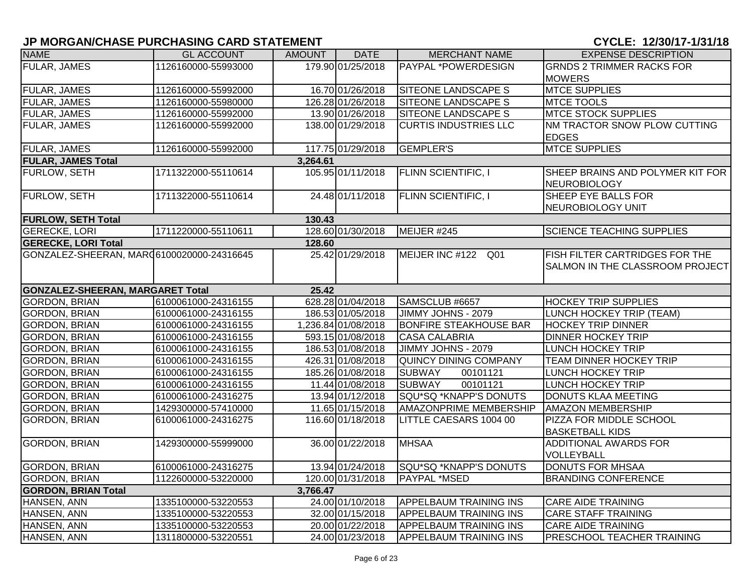# **JP MORGAN/CHASE PURCHASING CARD STATEMENT CHARGE 2010 12:00:00 THE 2010 12:00:00 THE 2010 12:00:00 THE 2010 12:00:00 THE 2010 12:00:00 THE 2010 12:00:00 THE 2010 12:00:00 THE 2010 12:00:00 THE 2010 12:00:00 THE 2010 12:**

| <b>NAME</b>                                | <b>GL ACCOUNT</b>   | <b>AMOUNT</b> | <b>DATE</b>         | <b>MERCHANT NAME</b>          | <b>EXPENSE DESCRIPTION</b>                              |
|--------------------------------------------|---------------------|---------------|---------------------|-------------------------------|---------------------------------------------------------|
| <b>FULAR, JAMES</b>                        | 1126160000-55993000 |               | 179.90 01/25/2018   | PAYPAL *POWERDESIGN           | <b>GRNDS 2 TRIMMER RACKS FOR</b>                        |
|                                            |                     |               |                     |                               | <b>MOWERS</b>                                           |
| FULAR, JAMES                               | 1126160000-55992000 |               | 16.70 01/26/2018    | SITEONE LANDSCAPE S           | <b>MTCE SUPPLIES</b>                                    |
| <b>FULAR, JAMES</b>                        | 1126160000-55980000 |               | 126.28 01/26/2018   | <b>SITEONE LANDSCAPE S</b>    | <b>MTCE TOOLS</b>                                       |
| <b>FULAR, JAMES</b>                        | 1126160000-55992000 |               | 13.90 01/26/2018    | SITEONE LANDSCAPE S           | <b>MTCE STOCK SUPPLIES</b>                              |
| FULAR, JAMES                               | 1126160000-55992000 |               | 138.00 01/29/2018   | <b>CURTIS INDUSTRIES LLC</b>  | <b>NM TRACTOR SNOW PLOW CUTTING</b>                     |
|                                            |                     |               |                     |                               | <b>EDGES</b>                                            |
| <b>FULAR, JAMES</b>                        | 1126160000-55992000 |               | 117.75 01/29/2018   | <b>GEMPLER'S</b>              | <b>MTCE SUPPLIES</b>                                    |
| <b>FULAR, JAMES Total</b>                  |                     | 3,264.61      |                     |                               |                                                         |
| FURLOW, SETH                               | 1711322000-55110614 |               | 105.95 01/11/2018   | <b>FLINN SCIENTIFIC, I</b>    | SHEEP BRAINS AND POLYMER KIT FOR<br><b>NEUROBIOLOGY</b> |
| <b>FURLOW, SETH</b>                        | 1711322000-55110614 |               | 24.48 01/11/2018    | <b>FLINN SCIENTIFIC, I</b>    | SHEEP EYE BALLS FOR                                     |
|                                            |                     |               |                     |                               | NEUROBIOLOGY UNIT                                       |
| <b>FURLOW, SETH Total</b>                  |                     | 130.43        |                     |                               |                                                         |
| <b>GERECKE, LORI</b>                       | 1711220000-55110611 |               | 128.60 01/30/2018   | MEIJER #245                   | <b>SCIENCE TEACHING SUPPLIES</b>                        |
| <b>GERECKE, LORI Total</b>                 |                     | 128.60        |                     |                               |                                                         |
| GONZALEZ-SHEERAN, MAR (6100020000-24316645 |                     |               | 25.42 01/29/2018    | MEIJER INC #122 Q01           | FISH FILTER CARTRIDGES FOR THE                          |
|                                            |                     |               |                     |                               | SALMON IN THE CLASSROOM PROJECT                         |
|                                            |                     |               |                     |                               |                                                         |
| <b>GONZALEZ-SHEERAN, MARGARET Total</b>    |                     | 25.42         |                     |                               |                                                         |
| <b>GORDON, BRIAN</b>                       | 6100061000-24316155 |               | 628.28 01/04/2018   | SAMSCLUB #6657                | <b>HOCKEY TRIP SUPPLIES</b>                             |
| <b>GORDON, BRIAN</b>                       | 6100061000-24316155 |               | 186.53 01/05/2018   | JIMMY JOHNS - 2079            | <b>LUNCH HOCKEY TRIP (TEAM)</b>                         |
| <b>GORDON, BRIAN</b>                       | 6100061000-24316155 |               | 1,236.84 01/08/2018 | <b>BONFIRE STEAKHOUSE BAR</b> | <b>HOCKEY TRIP DINNER</b>                               |
| <b>GORDON, BRIAN</b>                       | 6100061000-24316155 |               | 593.15 01/08/2018   | <b>CASA CALABRIA</b>          | <b>DINNER HOCKEY TRIP</b>                               |
| <b>GORDON, BRIAN</b>                       | 6100061000-24316155 |               | 186.53 01/08/2018   | JIMMY JOHNS - 2079            | LUNCH HOCKEY TRIP                                       |
| <b>GORDON, BRIAN</b>                       | 6100061000-24316155 |               | 426.31 01/08/2018   | <b>QUINCY DINING COMPANY</b>  | <b>TEAM DINNER HOCKEY TRIP</b>                          |
| <b>GORDON, BRIAN</b>                       | 6100061000-24316155 |               | 185.26 01/08/2018   | <b>SUBWAY</b><br>00101121     | <b>LUNCH HOCKEY TRIP</b>                                |
| <b>GORDON, BRIAN</b>                       | 6100061000-24316155 |               | 11.44 01/08/2018    | <b>SUBWAY</b><br>00101121     | <b>LUNCH HOCKEY TRIP</b>                                |
| <b>GORDON, BRIAN</b>                       | 6100061000-24316275 |               | 13.94 01/12/2018    | SQU*SQ *KNAPP'S DONUTS        | <b>DONUTS KLAA MEETING</b>                              |
| <b>GORDON, BRIAN</b>                       | 1429300000-57410000 |               | 11.65 01/15/2018    | <b>AMAZONPRIME MEMBERSHIP</b> | <b>AMAZON MEMBERSHIP</b>                                |
| <b>GORDON, BRIAN</b>                       | 6100061000-24316275 |               | 116.60 01/18/2018   | LITTLE CAESARS 1004 00        | PIZZA FOR MIDDLE SCHOOL                                 |
|                                            |                     |               |                     |                               | <b>BASKETBALL KIDS</b>                                  |
| <b>GORDON, BRIAN</b>                       | 1429300000-55999000 |               | 36.00 01/22/2018    | <b>MHSAA</b>                  | <b>ADDITIONAL AWARDS FOR</b>                            |
|                                            |                     |               |                     |                               | VOLLEYBALL                                              |
| <b>GORDON, BRIAN</b>                       | 6100061000-24316275 |               | 13.94 01/24/2018    | SQU*SQ *KNAPP'S DONUTS        | <b>DONUTS FOR MHSAA</b>                                 |
| <b>GORDON, BRIAN</b>                       | 1122600000-53220000 |               | 120.00 01/31/2018   | <b>PAYPAL *MSED</b>           | <b>BRANDING CONFERENCE</b>                              |
| <b>GORDON, BRIAN Total</b>                 |                     | 3,766.47      |                     |                               |                                                         |
| HANSEN, ANN                                | 1335100000-53220553 |               | 24.00 01/10/2018    | <b>APPELBAUM TRAINING INS</b> | <b>CARE AIDE TRAINING</b>                               |
| HANSEN, ANN                                | 1335100000-53220553 |               | 32.00 01/15/2018    | <b>APPELBAUM TRAINING INS</b> | <b>CARE STAFF TRAINING</b>                              |
| HANSEN, ANN                                | 1335100000-53220553 |               | 20.00 01/22/2018    | <b>APPELBAUM TRAINING INS</b> | <b>CARE AIDE TRAINING</b>                               |
| HANSEN, ANN                                | 1311800000-53220551 |               | 24.00 01/23/2018    | <b>APPELBAUM TRAINING INS</b> | PRESCHOOL TEACHER TRAINING                              |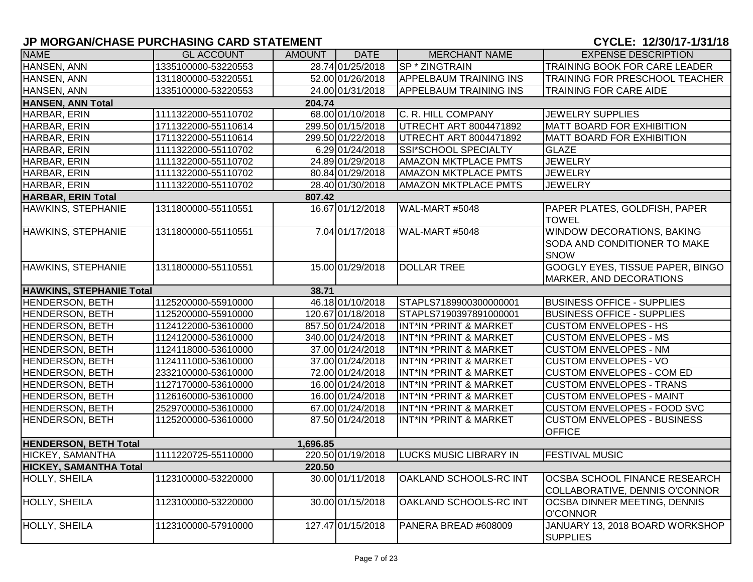| <b>NAME</b>                     | <b>GL ACCOUNT</b>   | <b>AMOUNT</b> | <b>DATE</b>       | <b>MERCHANT NAME</b>              | <b>EXPENSE DESCRIPTION</b>                                                |
|---------------------------------|---------------------|---------------|-------------------|-----------------------------------|---------------------------------------------------------------------------|
| HANSEN, ANN                     | 1335100000-53220553 |               | 28.74 01/25/2018  | SP * ZINGTRAIN                    | TRAINING BOOK FOR CARE LEADER                                             |
| HANSEN, ANN                     | 1311800000-53220551 |               | 52.00 01/26/2018  | <b>APPELBAUM TRAINING INS</b>     | TRAINING FOR PRESCHOOL TEACHER                                            |
| HANSEN, ANN                     | 1335100000-53220553 |               | 24.00 01/31/2018  | <b>APPELBAUM TRAINING INS</b>     | <b>TRAINING FOR CARE AIDE</b>                                             |
| <b>HANSEN, ANN Total</b>        |                     | 204.74        |                   |                                   |                                                                           |
| HARBAR, ERIN                    | 1111322000-55110702 |               | 68.00 01/10/2018  | C. R. HILL COMPANY                | <b>JEWELRY SUPPLIES</b>                                                   |
| HARBAR, ERIN                    | 1711322000-55110614 |               | 299.50 01/15/2018 | <b>UTRECHT ART 8004471892</b>     | <b>MATT BOARD FOR EXHIBITION</b>                                          |
| HARBAR, ERIN                    | 1711322000-55110614 |               | 299.50 01/22/2018 | UTRECHT ART 8004471892            | MATT BOARD FOR EXHIBITION                                                 |
| HARBAR, ERIN                    | 1111322000-55110702 |               | 6.29 01/24/2018   | SSI*SCHOOL SPECIALTY              | <b>GLAZE</b>                                                              |
| HARBAR, ERIN                    | 1111322000-55110702 |               | 24.89 01/29/2018  | <b>AMAZON MKTPLACE PMTS</b>       | <b>JEWELRY</b>                                                            |
| HARBAR, ERIN                    | 1111322000-55110702 |               | 80.84 01/29/2018  | <b>AMAZON MKTPLACE PMTS</b>       | <b>JEWELRY</b>                                                            |
| HARBAR, ERIN                    | 1111322000-55110702 |               | 28.40 01/30/2018  | <b>AMAZON MKTPLACE PMTS</b>       | <b>JEWELRY</b>                                                            |
| <b>HARBAR, ERIN Total</b>       |                     | 807.42        |                   |                                   |                                                                           |
| HAWKINS, STEPHANIE              | 1311800000-55110551 |               | 16.67 01/12/2018  | WAL-MART #5048                    | PAPER PLATES, GOLDFISH, PAPER<br><b>TOWEL</b>                             |
| <b>HAWKINS, STEPHANIE</b>       | 1311800000-55110551 |               | 7.04 01/17/2018   | WAL-MART #5048                    | WINDOW DECORATIONS, BAKING<br>SODA AND CONDITIONER TO MAKE<br><b>SNOW</b> |
| <b>HAWKINS, STEPHANIE</b>       | 1311800000-55110551 |               | 15.00 01/29/2018  | <b>DOLLAR TREE</b>                | <b>GOOGLY EYES, TISSUE PAPER, BINGO</b><br>MARKER, AND DECORATIONS        |
| <b>HAWKINS, STEPHANIE Total</b> |                     | 38.71         |                   |                                   |                                                                           |
| <b>HENDERSON, BETH</b>          | 1125200000-55910000 |               | 46.18 01/10/2018  | STAPLS7189900300000001            | <b>BUSINESS OFFICE - SUPPLIES</b>                                         |
| <b>HENDERSON, BETH</b>          | 1125200000-55910000 |               | 120.67 01/18/2018 | STAPLS7190397891000001            | <b>BUSINESS OFFICE - SUPPLIES</b>                                         |
| <b>HENDERSON, BETH</b>          | 1124122000-53610000 |               | 857.50 01/24/2018 | INT*IN *PRINT & MARKET            | <b>CUSTOM ENVELOPES - HS</b>                                              |
| <b>HENDERSON, BETH</b>          | 1124120000-53610000 |               | 340.00 01/24/2018 | INT*IN *PRINT & MARKET            | <b>CUSTOM ENVELOPES - MS</b>                                              |
| <b>HENDERSON, BETH</b>          | 1124118000-53610000 |               | 37.00 01/24/2018  | <b>INT*IN *PRINT &amp; MARKET</b> | <b>CUSTOM ENVELOPES - NM</b>                                              |
| <b>HENDERSON, BETH</b>          | 1124111000-53610000 |               | 37.00 01/24/2018  | INT*IN *PRINT & MARKET            | <b>CUSTOM ENVELOPES - VO</b>                                              |
| <b>HENDERSON, BETH</b>          | 2332100000-53610000 |               | 72.00 01/24/2018  | INT*IN *PRINT & MARKET            | <b>CUSTOM ENVELOPES - COM ED</b>                                          |
| <b>HENDERSON, BETH</b>          | 1127170000-53610000 |               | 16.00 01/24/2018  | INT*IN *PRINT & MARKET            | <b>CUSTOM ENVELOPES - TRANS</b>                                           |
| <b>HENDERSON, BETH</b>          | 1126160000-53610000 |               | 16.00 01/24/2018  | INT*IN *PRINT & MARKET            | <b>CUSTOM ENVELOPES - MAINT</b>                                           |
| <b>HENDERSON, BETH</b>          | 2529700000-53610000 |               | 67.00 01/24/2018  | INT*IN *PRINT & MARKET            | <b>CUSTOM ENVELOPES - FOOD SVC</b>                                        |
| <b>HENDERSON, BETH</b>          | 1125200000-53610000 |               | 87.50 01/24/2018  | INT*IN *PRINT & MARKET            | <b>CUSTOM ENVELOPES - BUSINESS</b><br><b>OFFICE</b>                       |
| <b>HENDERSON, BETH Total</b>    |                     | 1,696.85      |                   |                                   |                                                                           |
| HICKEY, SAMANTHA                | 1111220725-55110000 |               | 220.50 01/19/2018 | <b>LUCKS MUSIC LIBRARY IN</b>     | <b>FESTIVAL MUSIC</b>                                                     |
| <b>HICKEY, SAMANTHA Total</b>   |                     | 220.50        |                   |                                   |                                                                           |
| HOLLY, SHEILA                   | 1123100000-53220000 |               | 30.00 01/11/2018  | OAKLAND SCHOOLS-RC INT            | <b>OCSBA SCHOOL FINANCE RESEARCH</b><br>COLLABORATIVE, DENNIS O'CONNOR    |
| <b>HOLLY, SHEILA</b>            | 1123100000-53220000 |               | 30.00 01/15/2018  | OAKLAND SCHOOLS-RC INT            | <b>OCSBA DINNER MEETING, DENNIS</b><br><b>O'CONNOR</b>                    |
| <b>HOLLY, SHEILA</b>            | 1123100000-57910000 |               | 127.47 01/15/2018 | PANERA BREAD #608009              | JANUARY 13, 2018 BOARD WORKSHOP<br><b>SUPPLIES</b>                        |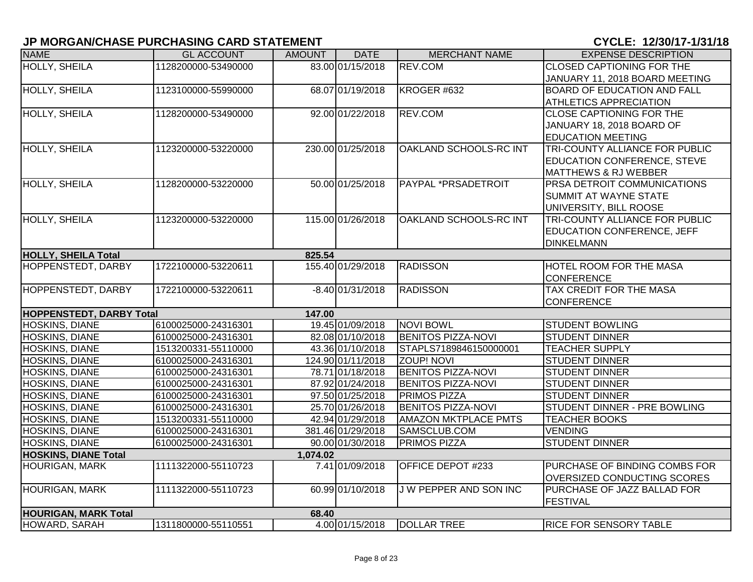| <b>NAME</b>                     | <b>GL ACCOUNT</b>   | <b>AMOUNT</b> | <b>DATE</b>        | <b>MERCHANT NAME</b>        | <b>EXPENSE DESCRIPTION</b>         |
|---------------------------------|---------------------|---------------|--------------------|-----------------------------|------------------------------------|
| HOLLY, SHEILA                   | 1128200000-53490000 |               | 83.00 01/15/2018   | REV.COM                     | <b>CLOSED CAPTIONING FOR THE</b>   |
|                                 |                     |               |                    |                             | JANUARY 11, 2018 BOARD MEETING     |
| HOLLY, SHEILA                   | 1123100000-55990000 |               | 68.07 01/19/2018   | KROGER #632                 | <b>BOARD OF EDUCATION AND FALL</b> |
|                                 |                     |               |                    |                             | ATHLETICS APPRECIATION             |
| HOLLY, SHEILA                   | 1128200000-53490000 |               | 92.00 01/22/2018   | REV.COM                     | CLOSE CAPTIONING FOR THE           |
|                                 |                     |               |                    |                             | JANUARY 18, 2018 BOARD OF          |
|                                 |                     |               |                    |                             | <b>EDUCATION MEETING</b>           |
| <b>HOLLY, SHEILA</b>            | 1123200000-53220000 |               | 230.00 01/25/2018  | OAKLAND SCHOOLS-RC INT      | TRI-COUNTY ALLIANCE FOR PUBLIC     |
|                                 |                     |               |                    |                             | <b>EDUCATION CONFERENCE, STEVE</b> |
|                                 |                     |               |                    |                             | MATTHEWS & RJ WEBBER               |
| <b>HOLLY, SHEILA</b>            | 1128200000-53220000 |               | 50.00 01/25/2018   | PAYPAL *PRSADETROIT         | PRSA DETROIT COMMUNICATIONS        |
|                                 |                     |               |                    |                             | <b>SUMMIT AT WAYNE STATE</b>       |
|                                 |                     |               |                    |                             | UNIVERSITY, BILL ROOSE             |
| <b>HOLLY, SHEILA</b>            | 1123200000-53220000 |               | 115.00 01/26/2018  | OAKLAND SCHOOLS-RC INT      | TRI-COUNTY ALLIANCE FOR PUBLIC     |
|                                 |                     |               |                    |                             | <b>EDUCATION CONFERENCE, JEFF</b>  |
|                                 |                     |               |                    |                             | <b>DINKELMANN</b>                  |
| <b>HOLLY, SHEILA Total</b>      |                     | 825.54        |                    |                             |                                    |
| HOPPENSTEDT, DARBY              | 1722100000-53220611 |               | 155.40 01/29/2018  | <b>RADISSON</b>             | <b>HOTEL ROOM FOR THE MASA</b>     |
|                                 |                     |               |                    |                             | CONFERENCE                         |
| <b>HOPPENSTEDT, DARBY</b>       | 1722100000-53220611 |               | $-8.40 01/31/2018$ | <b>RADISSON</b>             | TAX CREDIT FOR THE MASA            |
|                                 |                     |               |                    |                             | <b>CONFERENCE</b>                  |
| <b>HOPPENSTEDT, DARBY Total</b> |                     | 147.00        |                    |                             |                                    |
| <b>HOSKINS, DIANE</b>           | 6100025000-24316301 |               | 19.45 01/09/2018   | <b>NOVI BOWL</b>            | <b>STUDENT BOWLING</b>             |
| <b>HOSKINS, DIANE</b>           | 6100025000-24316301 |               | 82.08 01/10/2018   | <b>BENITOS PIZZA-NOVI</b>   | <b>STUDENT DINNER</b>              |
| <b>HOSKINS, DIANE</b>           | 1513200331-55110000 |               | 43.36 01/10/2018   | STAPLS7189846150000001      | <b>TEACHER SUPPLY</b>              |
| <b>HOSKINS, DIANE</b>           | 6100025000-24316301 |               | 124.90 01/11/2018  | <b>ZOUP! NOVI</b>           | <b>STUDENT DINNER</b>              |
| <b>HOSKINS, DIANE</b>           | 6100025000-24316301 |               | 78.71 01/18/2018   | <b>BENITOS PIZZA-NOVI</b>   | <b>STUDENT DINNER</b>              |
| HOSKINS, DIANE                  | 6100025000-24316301 |               | 87.92 01/24/2018   | <b>BENITOS PIZZA-NOVI</b>   | <b>STUDENT DINNER</b>              |
| HOSKINS, DIANE                  | 6100025000-24316301 |               | 97.50 01/25/2018   | <b>PRIMOS PIZZA</b>         | STUDENT DINNER                     |
| HOSKINS, DIANE                  | 6100025000-24316301 |               | 25.70 01/26/2018   | <b>BENITOS PIZZA-NOVI</b>   | STUDENT DINNER - PRE BOWLING       |
| HOSKINS, DIANE                  | 1513200331-55110000 |               | 42.94 01/29/2018   | <b>AMAZON MKTPLACE PMTS</b> | <b>TEACHER BOOKS</b>               |
| HOSKINS, DIANE                  | 6100025000-24316301 |               | 381.46 01/29/2018  | SAMSCLUB.COM                | <b>VENDING</b>                     |
| HOSKINS, DIANE                  | 6100025000-24316301 |               | 90.00 01/30/2018   | PRIMOS PIZZA                | <b>STUDENT DINNER</b>              |
| <b>HOSKINS, DIANE Total</b>     |                     | 1,074.02      |                    |                             |                                    |
| <b>HOURIGAN, MARK</b>           | 1111322000-55110723 |               | 7.41 01/09/2018    | OFFICE DEPOT #233           | PURCHASE OF BINDING COMBS FOR      |
|                                 |                     |               |                    |                             | OVERSIZED CONDUCTING SCORES        |
| HOURIGAN, MARK                  | 1111322000-55110723 |               | 60.99 01/10/2018   | J W PEPPER AND SON INC      | PURCHASE OF JAZZ BALLAD FOR        |
|                                 |                     |               |                    |                             | FESTIVAL                           |
| <b>HOURIGAN, MARK Total</b>     |                     | 68.40         |                    |                             |                                    |
| HOWARD, SARAH                   | 1311800000-55110551 |               | 4.00 01/15/2018    | <b>DOLLAR TREE</b>          | <b>RICE FOR SENSORY TABLE</b>      |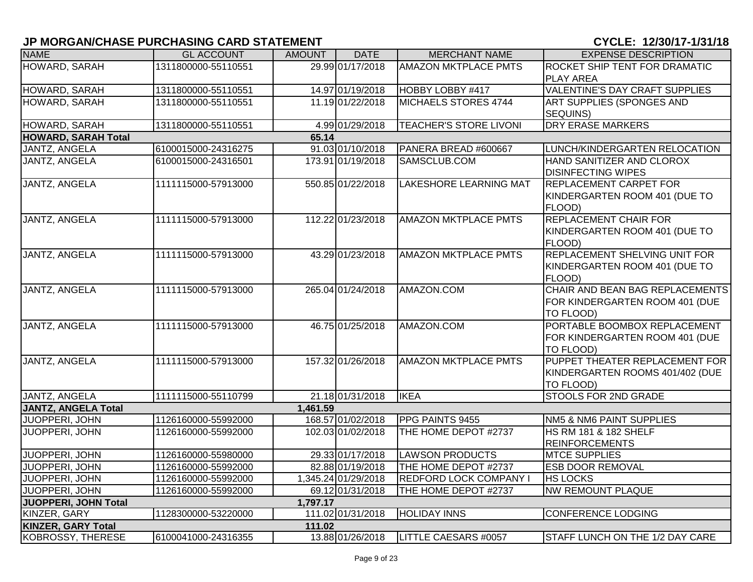| <b>NAME</b>                | <b>GL ACCOUNT</b>   | <b>AMOUNT</b> | <b>DATE</b>         | <b>MERCHANT NAME</b>          | <b>EXPENSE DESCRIPTION</b>                                                     |
|----------------------------|---------------------|---------------|---------------------|-------------------------------|--------------------------------------------------------------------------------|
| HOWARD, SARAH              | 1311800000-55110551 |               | 29.99 01/17/2018    | <b>AMAZON MKTPLACE PMTS</b>   | ROCKET SHIP TENT FOR DRAMATIC                                                  |
|                            |                     |               |                     |                               | <b>PLAY AREA</b>                                                               |
| HOWARD, SARAH              | 1311800000-55110551 |               | 14.97 01/19/2018    | HOBBY LOBBY #417              | VALENTINE'S DAY CRAFT SUPPLIES                                                 |
| HOWARD, SARAH              | 1311800000-55110551 |               | 11.19 01/22/2018    | MICHAELS STORES 4744          | <b>ART SUPPLIES (SPONGES AND</b>                                               |
|                            |                     |               |                     |                               | SEQUINS)                                                                       |
| HOWARD, SARAH              | 1311800000-55110551 |               | 4.99 01/29/2018     | <b>TEACHER'S STORE LIVONI</b> | <b>DRY ERASE MARKERS</b>                                                       |
| <b>HOWARD, SARAH Total</b> |                     | 65.14         |                     |                               |                                                                                |
| JANTZ, ANGELA              | 6100015000-24316275 |               | 91.03 01/10/2018    | PANERA BREAD #600667          | LUNCH/KINDERGARTEN RELOCATION                                                  |
| JANTZ, ANGELA              | 6100015000-24316501 |               | 173.91 01/19/2018   | SAMSCLUB.COM                  | HAND SANITIZER AND CLOROX<br><b>DISINFECTING WIPES</b>                         |
| <b>JANTZ, ANGELA</b>       | 1111115000-57913000 |               | 550.85 01/22/2018   | <b>LAKESHORE LEARNING MAT</b> | REPLACEMENT CARPET FOR<br>KINDERGARTEN ROOM 401 (DUE TO<br>FLOOD)              |
| <b>JANTZ, ANGELA</b>       | 1111115000-57913000 |               | 112.22 01/23/2018   | <b>AMAZON MKTPLACE PMTS</b>   | <b>REPLACEMENT CHAIR FOR</b><br>KINDERGARTEN ROOM 401 (DUE TO<br>FLOOD)        |
| JANTZ, ANGELA              | 1111115000-57913000 |               | 43.29 01/23/2018    | <b>AMAZON MKTPLACE PMTS</b>   | REPLACEMENT SHELVING UNIT FOR<br>KINDERGARTEN ROOM 401 (DUE TO<br>FLOOD)       |
| <b>JANTZ, ANGELA</b>       | 1111115000-57913000 |               | 265.04 01/24/2018   | AMAZON.COM                    | CHAIR AND BEAN BAG REPLACEMENTS<br>FOR KINDERGARTEN ROOM 401 (DUE<br>TO FLOOD) |
| <b>JANTZ, ANGELA</b>       | 1111115000-57913000 |               | 46.75 01/25/2018    | AMAZON.COM                    | PORTABLE BOOMBOX REPLACEMENT<br>FOR KINDERGARTEN ROOM 401 (DUE<br>TO FLOOD)    |
| JANTZ, ANGELA              | 1111115000-57913000 |               | 157.32 01/26/2018   | <b>AMAZON MKTPLACE PMTS</b>   | PUPPET THEATER REPLACEMENT FOR<br>KINDERGARTEN ROOMS 401/402 (DUE<br>TO FLOOD) |
| JANTZ, ANGELA              | 1111115000-55110799 |               | 21.18 01/31/2018    | <b>IKEA</b>                   | STOOLS FOR 2ND GRADE                                                           |
| <b>JANTZ, ANGELA Total</b> |                     | 1,461.59      |                     |                               |                                                                                |
| JUOPPERI, JOHN             | 1126160000-55992000 |               | 168.57 01/02/2018   | PPG PAINTS 9455               | NM5 & NM6 PAINT SUPPLIES                                                       |
| JUOPPERI, JOHN             | 1126160000-55992000 |               | 102.03 01/02/2018   | THE HOME DEPOT #2737          | <b>HS RM 181 &amp; 182 SHELF</b><br><b>REINFORCEMENTS</b>                      |
| <b>JUOPPERI, JOHN</b>      | 1126160000-55980000 |               | 29.33 01/17/2018    | <b>LAWSON PRODUCTS</b>        | <b>MTCE SUPPLIES</b>                                                           |
| JUOPPERI, JOHN             | 1126160000-55992000 |               | 82.88 01/19/2018    | THE HOME DEPOT #2737          | <b>ESB DOOR REMOVAL</b>                                                        |
| JUOPPERI, JOHN             | 1126160000-55992000 |               | 1,345.24 01/29/2018 | <b>REDFORD LOCK COMPANY I</b> | <b>HS LOCKS</b>                                                                |
| JUOPPERI, JOHN             | 1126160000-55992000 |               | 69.12 01/31/2018    | THE HOME DEPOT #2737          | <b>NW REMOUNT PLAQUE</b>                                                       |
| JUOPPERI, JOHN Total       |                     | 1,797.17      |                     |                               |                                                                                |
| KINZER, GARY               | 1128300000-53220000 |               | 111.02 01/31/2018   | <b>HOLIDAY INNS</b>           | <b>CONFERENCE LODGING</b>                                                      |
| <b>KINZER, GARY Total</b>  |                     | 111.02        |                     |                               |                                                                                |
| <b>KOBROSSY, THERESE</b>   | 6100041000-24316355 |               | 13.88 01/26/2018    | <b>LITTLE CAESARS #0057</b>   | STAFF LUNCH ON THE 1/2 DAY CARE                                                |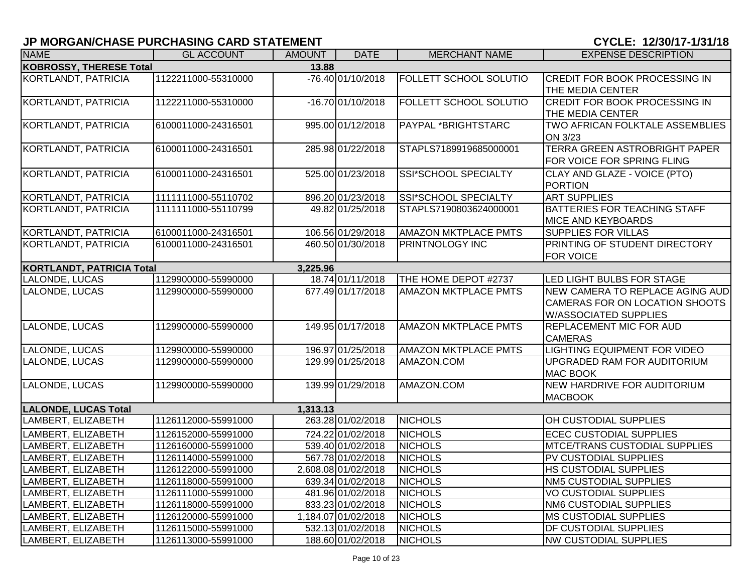| <b>NAME</b>                             | <b>GL ACCOUNT</b>   | <b>AMOUNT</b> | <b>DATE</b>         | <b>MERCHANT NAME</b>        | <b>EXPENSE DESCRIPTION</b>                                                                        |  |  |  |
|-----------------------------------------|---------------------|---------------|---------------------|-----------------------------|---------------------------------------------------------------------------------------------------|--|--|--|
| <b>KOBROSSY, THERESE Total</b><br>13.88 |                     |               |                     |                             |                                                                                                   |  |  |  |
| KORTLANDT, PATRICIA                     | 1122211000-55310000 |               | -76.40 01/10/2018   | FOLLETT SCHOOL SOLUTIO      | <b>CREDIT FOR BOOK PROCESSING IN</b><br>THE MEDIA CENTER                                          |  |  |  |
| KORTLANDT, PATRICIA                     | 1122211000-55310000 |               | $-16.70 01/10/2018$ | FOLLETT SCHOOL SOLUTIO      | <b>CREDIT FOR BOOK PROCESSING IN</b><br>THE MEDIA CENTER                                          |  |  |  |
| KORTLANDT, PATRICIA                     | 6100011000-24316501 |               | 995.00 01/12/2018   | PAYPAL *BRIGHTSTARC         | TWO AFRICAN FOLKTALE ASSEMBLIES<br>ON 3/23                                                        |  |  |  |
| KORTLANDT, PATRICIA                     | 6100011000-24316501 |               | 285.98 01/22/2018   | STAPLS7189919685000001      | TERRA GREEN ASTROBRIGHT PAPER<br>FOR VOICE FOR SPRING FLING                                       |  |  |  |
| <b>KORTLANDT, PATRICIA</b>              | 6100011000-24316501 |               | 525.00 01/23/2018   | <b>SSI*SCHOOL SPECIALTY</b> | CLAY AND GLAZE - VOICE (PTO)<br>PORTION                                                           |  |  |  |
| KORTLANDT, PATRICIA                     | 1111111000-55110702 |               | 896.20 01/23/2018   | SSI*SCHOOL SPECIALTY        | <b>ART SUPPLIES</b>                                                                               |  |  |  |
| <b>KORTLANDT, PATRICIA</b>              | 1111111000-55110799 |               | 49.82 01/25/2018    | STAPLS7190803624000001      | <b>BATTERIES FOR TEACHING STAFF</b><br>MICE AND KEYBOARDS                                         |  |  |  |
| <b>KORTLANDT, PATRICIA</b>              | 6100011000-24316501 |               | 106.56 01/29/2018   | <b>AMAZON MKTPLACE PMTS</b> | <b>SUPPLIES FOR VILLAS</b>                                                                        |  |  |  |
| KORTLANDT, PATRICIA                     | 6100011000-24316501 |               | 460.50 01/30/2018   | PRINTNOLOGY INC             | PRINTING OF STUDENT DIRECTORY<br>FOR VOICE                                                        |  |  |  |
| KORTLANDT, PATRICIA Total               |                     | 3,225.96      |                     |                             |                                                                                                   |  |  |  |
| LALONDE, LUCAS                          | 1129900000-55990000 |               | 18.74 01/11/2018    | THE HOME DEPOT #2737        | LED LIGHT BULBS FOR STAGE                                                                         |  |  |  |
| LALONDE, LUCAS                          | 1129900000-55990000 |               | 677.49 01/17/2018   | <b>AMAZON MKTPLACE PMTS</b> | NEW CAMERA TO REPLACE AGING AUD<br>CAMERAS FOR ON LOCATION SHOOTS<br><b>W/ASSOCIATED SUPPLIES</b> |  |  |  |
| LALONDE, LUCAS                          | 1129900000-55990000 |               | 149.95 01/17/2018   | <b>AMAZON MKTPLACE PMTS</b> | REPLACEMENT MIC FOR AUD<br><b>CAMERAS</b>                                                         |  |  |  |
| LALONDE, LUCAS                          | 1129900000-55990000 |               | 196.97 01/25/2018   | <b>AMAZON MKTPLACE PMTS</b> | LIGHTING EQUIPMENT FOR VIDEO                                                                      |  |  |  |
| LALONDE, LUCAS                          | 1129900000-55990000 |               | 129.99 01/25/2018   | AMAZON.COM                  | UPGRADED RAM FOR AUDITORIUM<br><b>MAC BOOK</b>                                                    |  |  |  |
| LALONDE, LUCAS                          | 1129900000-55990000 |               | 139.99 01/29/2018   | AMAZON.COM                  | NEW HARDRIVE FOR AUDITORIUM<br><b>MACBOOK</b>                                                     |  |  |  |
| <b>LALONDE, LUCAS Total</b>             |                     | 1,313.13      |                     |                             |                                                                                                   |  |  |  |
| LAMBERT, ELIZABETH                      | 1126112000-55991000 |               | 263.28 01/02/2018   | <b>NICHOLS</b>              | OH CUSTODIAL SUPPLIES                                                                             |  |  |  |
| LAMBERT, ELIZABETH                      | 1126152000-55991000 |               | 724.22 01/02/2018   | <b>NICHOLS</b>              | <b>ECEC CUSTODIAL SUPPLIES</b>                                                                    |  |  |  |
| LAMBERT, ELIZABETH                      | 1126160000-55991000 |               | 539.40 01/02/2018   | <b>NICHOLS</b>              | <b>MTCE/TRANS CUSTODIAL SUPPLIES</b>                                                              |  |  |  |
| LAMBERT, ELIZABETH                      | 1126114000-55991000 |               | 567.78 01/02/2018   | <b>NICHOLS</b>              | PV CUSTODIAL SUPPLIES                                                                             |  |  |  |
| LAMBERT, ELIZABETH                      | 1126122000-55991000 |               | 2,608.08 01/02/2018 | <b>NICHOLS</b>              | HS CUSTODIAL SUPPLIES                                                                             |  |  |  |
| LAMBERT, ELIZABETH                      | 1126118000-55991000 |               | 639.34 01/02/2018   | <b>NICHOLS</b>              | NM5 CUSTODIAL SUPPLIES                                                                            |  |  |  |
| LAMBERT, ELIZABETH                      | 1126111000-55991000 |               | 481.96 01/02/2018   | <b>NICHOLS</b>              | <b>VO CUSTODIAL SUPPLIES</b>                                                                      |  |  |  |
| LAMBERT, ELIZABETH                      | 1126118000-55991000 |               | 833.23 01/02/2018   | <b>NICHOLS</b>              | <b>NM6 CUSTODIAL SUPPLIES</b>                                                                     |  |  |  |
| LAMBERT, ELIZABETH                      | 1126120000-55991000 |               | 1,184.07 01/02/2018 | <b>NICHOLS</b>              | <b>MS CUSTODIAL SUPPLIES</b>                                                                      |  |  |  |
| LAMBERT, ELIZABETH                      | 1126115000-55991000 |               | 532.13 01/02/2018   | <b>NICHOLS</b>              | DF CUSTODIAL SUPPLIES                                                                             |  |  |  |
| LAMBERT, ELIZABETH                      | 1126113000-55991000 |               | 188.60 01/02/2018   | <b>NICHOLS</b>              | <b>NW CUSTODIAL SUPPLIES</b>                                                                      |  |  |  |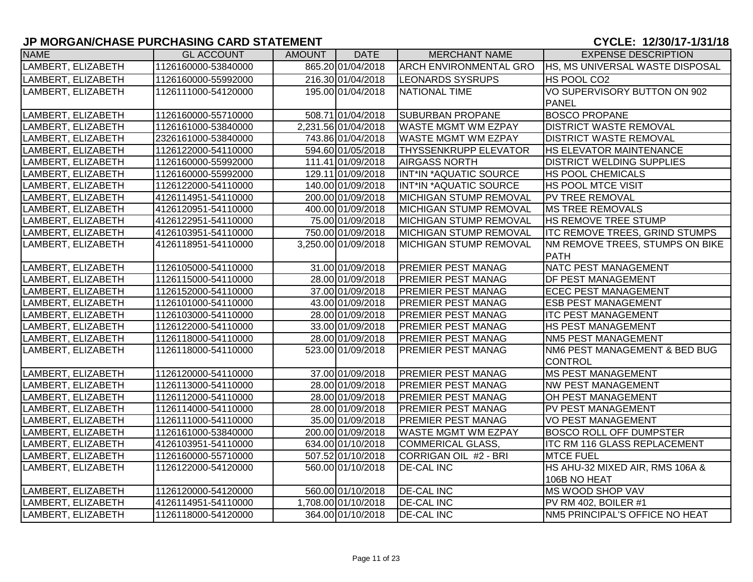#### **JP MORGAN/CHASE PURCHASING CARD STATEMENT CONSUMING A CONSUMING A SUBSEX CONSUMING A CYCLE: 12/30/17-1/31/18**

| <b>NAME</b>        | <b>GL ACCOUNT</b>   | AMOUNT | <b>DATE</b>         | <b>MERCHANT NAME</b>          | <b>EXPENSE DESCRIPTION</b>            |
|--------------------|---------------------|--------|---------------------|-------------------------------|---------------------------------------|
| LAMBERT, ELIZABETH | 1126160000-53840000 |        | 865.20 01/04/2018   | ARCH ENVIRONMENTAL GRO        | HS, MS UNIVERSAL WASTE DISPOSAL       |
| LAMBERT, ELIZABETH | 1126160000-55992000 |        | 216.30 01/04/2018   | <b>LEONARDS SYSRUPS</b>       | HS POOL CO2                           |
| LAMBERT, ELIZABETH | 1126111000-54120000 |        | 195.00 01/04/2018   | NATIONAL TIME                 | VO SUPERVISORY BUTTON ON 902          |
|                    |                     |        |                     |                               | <b>PANEL</b>                          |
| LAMBERT, ELIZABETH | 1126160000-55710000 |        | 508.71 01/04/2018   | <b>SUBURBAN PROPANE</b>       | <b>BOSCO PROPANE</b>                  |
| LAMBERT, ELIZABETH | 1126161000-53840000 |        | 2,231.56 01/04/2018 | <b>WASTE MGMT WM EZPAY</b>    | <b>DISTRICT WASTE REMOVAL</b>         |
| LAMBERT, ELIZABETH | 2326161000-53840000 |        | 743.86 01/04/2018   | <b>WASTE MGMT WM EZPAY</b>    | <b>DISTRICT WASTE REMOVAL</b>         |
| LAMBERT, ELIZABETH | 1126122000-54110000 |        | 594.60 01/05/2018   | <b>THYSSENKRUPP ELEVATOR</b>  | HS ELEVATOR MAINTENANCE               |
| LAMBERT, ELIZABETH | 1126160000-55992000 |        | 111.41 01/09/2018   | <b>AIRGASS NORTH</b>          | <b>DISTRICT WELDING SUPPLIES</b>      |
| LAMBERT, ELIZABETH | 1126160000-55992000 |        | 129.11 01/09/2018   | INT*IN *AQUATIC SOURCE        | <b>HS POOL CHEMICALS</b>              |
| LAMBERT, ELIZABETH | 1126122000-54110000 |        | 140.00 01/09/2018   | INT*IN *AQUATIC SOURCE        | <b>HS POOL MTCE VISIT</b>             |
| LAMBERT, ELIZABETH | 4126114951-54110000 |        | 200.00 01/09/2018   | MICHIGAN STUMP REMOVAL        | PV TREE REMOVAL                       |
| LAMBERT, ELIZABETH | 4126120951-54110000 |        | 400.00 01/09/2018   | MICHIGAN STUMP REMOVAL        | <b>MS TREE REMOVALS</b>               |
| LAMBERT, ELIZABETH | 4126122951-54110000 |        | 75.00 01/09/2018    | MICHIGAN STUMP REMOVAL        | <b>HS REMOVE TREE STUMP</b>           |
| LAMBERT, ELIZABETH | 4126103951-54110000 |        | 750.00 01/09/2018   | <b>MICHIGAN STUMP REMOVAL</b> | <b>ITC REMOVE TREES, GRIND STUMPS</b> |
| LAMBERT, ELIZABETH | 4126118951-54110000 |        | 3,250.00 01/09/2018 | MICHIGAN STUMP REMOVAL        | NM REMOVE TREES, STUMPS ON BIKE       |
|                    |                     |        |                     |                               | <b>PATH</b>                           |
| LAMBERT, ELIZABETH | 1126105000-54110000 |        | 31.00 01/09/2018    | <b>PREMIER PEST MANAG</b>     | NATC PEST MANAGEMENT                  |
| LAMBERT, ELIZABETH | 1126115000-54110000 |        | 28.00 01/09/2018    | <b>PREMIER PEST MANAG</b>     | <b>DF PEST MANAGEMENT</b>             |
| LAMBERT, ELIZABETH | 1126152000-54110000 |        | 37.00 01/09/2018    | <b>PREMIER PEST MANAG</b>     | <b>ECEC PEST MANAGEMENT</b>           |
| LAMBERT, ELIZABETH | 1126101000-54110000 |        | 43.00 01/09/2018    | <b>PREMIER PEST MANAG</b>     | <b>ESB PEST MANAGEMENT</b>            |
| LAMBERT, ELIZABETH | 1126103000-54110000 |        | 28.00 01/09/2018    | <b>PREMIER PEST MANAG</b>     | <b>ITC PEST MANAGEMENT</b>            |
| LAMBERT, ELIZABETH | 1126122000-54110000 |        | 33.00 01/09/2018    | <b>PREMIER PEST MANAG</b>     | <b>HS PEST MANAGEMENT</b>             |
| LAMBERT, ELIZABETH | 1126118000-54110000 |        | 28.00 01/09/2018    | <b>PREMIER PEST MANAG</b>     | <b>NM5 PEST MANAGEMENT</b>            |
| LAMBERT, ELIZABETH | 1126118000-54110000 |        | 523.00 01/09/2018   | PREMIER PEST MANAG            | NM6 PEST MANAGEMENT & BED BUG         |
|                    |                     |        |                     |                               | <b>CONTROL</b>                        |
| LAMBERT, ELIZABETH | 1126120000-54110000 |        | 37.00 01/09/2018    | <b>PREMIER PEST MANAG</b>     | <b>MS PEST MANAGEMENT</b>             |
| LAMBERT, ELIZABETH | 1126113000-54110000 |        | 28.00 01/09/2018    | <b>PREMIER PEST MANAG</b>     | <b>NW PEST MANAGEMENT</b>             |
| LAMBERT, ELIZABETH | 1126112000-54110000 |        | 28.00 01/09/2018    | PREMIER PEST MANAG            | OH PEST MANAGEMENT                    |
| LAMBERT, ELIZABETH | 1126114000-54110000 |        | 28.00 01/09/2018    | <b>PREMIER PEST MANAG</b>     | PV PEST MANAGEMENT                    |
| LAMBERT, ELIZABETH | 1126111000-54110000 |        | 35.00 01/09/2018    | <b>PREMIER PEST MANAG</b>     | VO PEST MANAGEMENT                    |
| LAMBERT, ELIZABETH | 1126161000-53840000 |        | 200.00 01/09/2018   | <b>WASTE MGMT WM EZPAY</b>    | <b>BOSCO ROLL OFF DUMPSTER</b>        |
| LAMBERT, ELIZABETH | 4126103951-54110000 |        | 634.00 01/10/2018   | <b>COMMERICAL GLASS,</b>      | <b>ITC RM 116 GLASS REPLACEMENT</b>   |
| LAMBERT, ELIZABETH | 1126160000-55710000 |        | 507.52 01/10/2018   | CORRIGAN OIL #2 - BRI         | <b>MTCE FUEL</b>                      |
| LAMBERT, ELIZABETH | 1126122000-54120000 |        | 560.00 01/10/2018   | <b>DE-CAL INC</b>             | HS AHU-32 MIXED AIR, RMS 106A &       |
|                    |                     |        |                     |                               | 106B NO HEAT                          |
| LAMBERT, ELIZABETH | 1126120000-54120000 |        | 560.00 01/10/2018   | <b>DE-CAL INC</b>             | MS WOOD SHOP VAV                      |
| LAMBERT, ELIZABETH | 4126114951-54110000 |        | 1,708.00 01/10/2018 | <b>DE-CAL INC</b>             | PV RM 402, BOILER #1                  |
| LAMBERT, ELIZABETH | 1126118000-54120000 |        | 364.00 01/10/2018   | <b>DE-CAL INC</b>             | NM5 PRINCIPAL'S OFFICE NO HEAT        |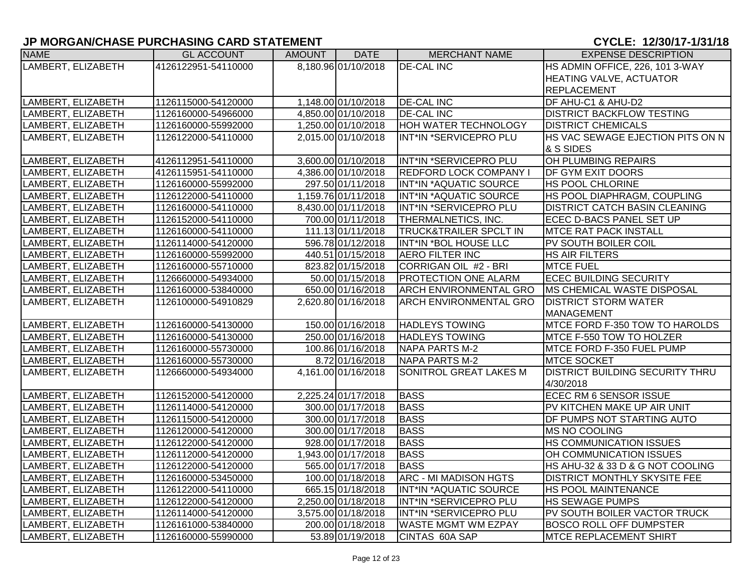| <b>NAME</b>        | <b>GL ACCOUNT</b>   | <b>AMOUNT</b> | <b>DATE</b>         | <b>MERCHANT NAME</b>              | <b>EXPENSE DESCRIPTION</b>             |
|--------------------|---------------------|---------------|---------------------|-----------------------------------|----------------------------------------|
| LAMBERT, ELIZABETH | 4126122951-54110000 |               | 8,180.96 01/10/2018 | <b>DE-CAL INC</b>                 | HS ADMIN OFFICE, 226, 101 3-WAY        |
|                    |                     |               |                     |                                   | <b>HEATING VALVE, ACTUATOR</b>         |
|                    |                     |               |                     |                                   | <b>REPLACEMENT</b>                     |
| LAMBERT, ELIZABETH | 1126115000-54120000 |               | 1,148.00 01/10/2018 | <b>DE-CAL INC</b>                 | DF AHU-C1 & AHU-D2                     |
| LAMBERT, ELIZABETH | 1126160000-54966000 |               | 4,850.00 01/10/2018 | <b>DE-CAL INC</b>                 | <b>DISTRICT BACKFLOW TESTING</b>       |
| LAMBERT, ELIZABETH | 1126160000-55992000 |               | 1,250.00 01/10/2018 | HOH WATER TECHNOLOGY              | <b>DISTRICT CHEMICALS</b>              |
| LAMBERT, ELIZABETH | 1126122000-54110000 |               | 2,015.00 01/10/2018 | INT*IN *SERVICEPRO PLU            | HS VAC SEWAGE EJECTION PITS ON N       |
|                    |                     |               |                     |                                   | & S SIDES                              |
| LAMBERT, ELIZABETH | 4126112951-54110000 |               | 3,600.00 01/10/2018 | INT*IN *SERVICEPRO PLU            | OH PLUMBING REPAIRS                    |
| LAMBERT, ELIZABETH | 4126115951-54110000 |               | 4,386.00 01/10/2018 | <b>REDFORD LOCK COMPANY I</b>     | DF GYM EXIT DOORS                      |
| LAMBERT, ELIZABETH | 1126160000-55992000 |               | 297.50 01/11/2018   | INT*IN *AQUATIC SOURCE            | HS POOL CHLORINE                       |
| LAMBERT, ELIZABETH | 1126122000-54110000 |               | 1,159.76 01/11/2018 | INT*IN *AQUATIC SOURCE            | HS POOL DIAPHRAGM, COUPLING            |
| LAMBERT, ELIZABETH | 1126160000-54110000 |               | 8,430.00 01/11/2018 | INT*IN *SERVICEPRO PLU            | <b>DISTRICT CATCH BASIN CLEANING</b>   |
| LAMBERT, ELIZABETH | 1126152000-54110000 |               | 700.00 01/11/2018   | THERMALNETICS, INC.               | ECEC D-BACS PANEL SET UP               |
| LAMBERT, ELIZABETH | 1126160000-54110000 |               | 111.13 01/11/2018   | <b>TRUCK&amp;TRAILER SPCLT IN</b> | <b>MTCE RAT PACK INSTALL</b>           |
| LAMBERT, ELIZABETH | 1126114000-54120000 |               | 596.78 01/12/2018   | INT*IN *BOL HOUSE LLC             | PV SOUTH BOILER COIL                   |
| LAMBERT, ELIZABETH | 1126160000-55992000 |               | 440.51 01/15/2018   | <b>AERO FILTER INC</b>            | <b>HS AIR FILTERS</b>                  |
| LAMBERT, ELIZABETH | 1126160000-55710000 |               | 823.82 01/15/2018   | CORRIGAN OIL #2 - BRI             | <b>MTCE FUEL</b>                       |
| LAMBERT, ELIZABETH | 1126660000-54934000 |               | 50.00 01/15/2018    | PROTECTION ONE ALARM              | <b>ECEC BUILDING SECURITY</b>          |
| LAMBERT, ELIZABETH | 1126160000-53840000 |               | 650.00 01/16/2018   | <b>ARCH ENVIRONMENTAL GRO</b>     | <b>IMS CHEMICAL WASTE DISPOSAL</b>     |
| LAMBERT, ELIZABETH | 1126100000-54910829 |               | 2,620.80 01/16/2018 | <b>ARCH ENVIRONMENTAL GRO</b>     | <b>DISTRICT STORM WATER</b>            |
|                    |                     |               |                     |                                   | MANAGEMENT                             |
| LAMBERT, ELIZABETH | 1126160000-54130000 |               | 150.00 01/16/2018   | <b>HADLEYS TOWING</b>             | MTCE FORD F-350 TOW TO HAROLDS         |
| LAMBERT, ELIZABETH | 1126160000-54130000 |               | 250.00 01/16/2018   | <b>HADLEYS TOWING</b>             | MTCE F-550 TOW TO HOLZER               |
| LAMBERT, ELIZABETH | 1126160000-55730000 |               | 100.86 01/16/2018   | NAPA PARTS M-2                    | MTCE FORD F-350 FUEL PUMP              |
| LAMBERT, ELIZABETH | 1126160000-55730000 |               | 8.72 01/16/2018     | NAPA PARTS M-2                    | <b>MTCE SOCKET</b>                     |
| LAMBERT, ELIZABETH | 1126660000-54934000 |               | 4,161.00 01/16/2018 | SONITROL GREAT LAKES M            | <b>DISTRICT BUILDING SECURITY THRU</b> |
|                    |                     |               |                     |                                   | 4/30/2018                              |
| LAMBERT, ELIZABETH | 1126152000-54120000 |               | 2,225.24 01/17/2018 | <b>BASS</b>                       | ECEC RM 6 SENSOR ISSUE                 |
| LAMBERT, ELIZABETH | 1126114000-54120000 |               | 300.00 01/17/2018   | <b>BASS</b>                       | PV KITCHEN MAKE UP AIR UNIT            |
| LAMBERT, ELIZABETH | 1126115000-54120000 |               | 300.00 01/17/2018   | <b>BASS</b>                       | DF PUMPS NOT STARTING AUTO             |
| LAMBERT, ELIZABETH | 1126120000-54120000 |               | 300.00 01/17/2018   | <b>BASS</b>                       | MS NO COOLING                          |
| LAMBERT, ELIZABETH | 1126122000-54120000 |               | 928.00 01/17/2018   | <b>BASS</b>                       | HS COMMUNICATION ISSUES                |
| LAMBERT, ELIZABETH | 1126112000-54120000 |               | 1,943.00 01/17/2018 | <b>BASS</b>                       | OH COMMUNICATION ISSUES                |
| LAMBERT, ELIZABETH | 1126122000-54120000 |               | 565.00 01/17/2018   | <b>BASS</b>                       | HS AHU-32 & 33 D & G NOT COOLING       |
| LAMBERT, ELIZABETH | 1126160000-53450000 |               | 100.00 01/18/2018   | <b>ARC - MI MADISON HGTS</b>      | <b>DISTRICT MONTHLY SKYSITE FEE</b>    |
| LAMBERT, ELIZABETH | 1126122000-54110000 |               | 665.15 01/18/2018   | INT*IN *AQUATIC SOURCE            | <b>HS POOL MAINTENANCE</b>             |
| LAMBERT, ELIZABETH | 1126122000-54120000 |               | 2,250.00 01/18/2018 | INT*IN *SERVICEPRO PLU            | <b>HS SEWAGE PUMPS</b>                 |
| LAMBERT, ELIZABETH | 1126114000-54120000 |               | 3,575.00 01/18/2018 | INT*IN *SERVICEPRO PLU            | PV SOUTH BOILER VACTOR TRUCK           |
| LAMBERT, ELIZABETH | 1126161000-53840000 |               | 200.00 01/18/2018   | WASTE MGMT WM EZPAY               | <b>BOSCO ROLL OFF DUMPSTER</b>         |
| LAMBERT, ELIZABETH | 1126160000-55990000 |               | 53.89 01/19/2018    | CINTAS 60A SAP                    | <b>MTCE REPLACEMENT SHIRT</b>          |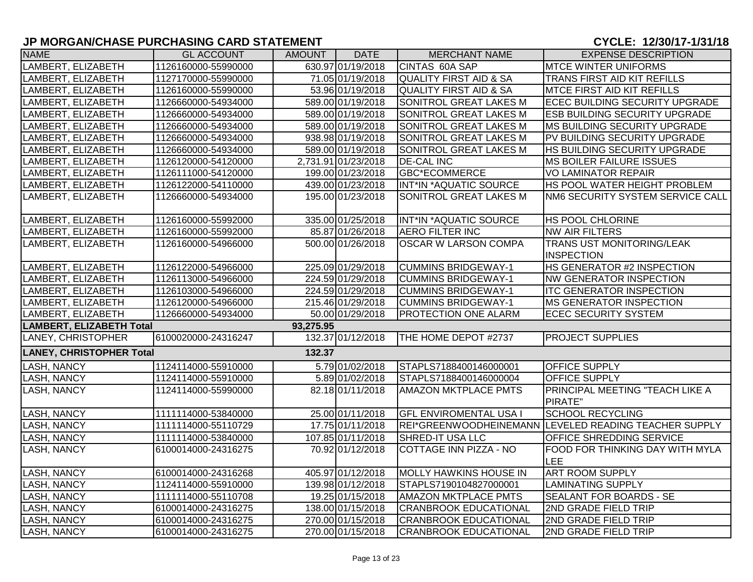| <b>NAME</b>                     | <b>GL ACCOUNT</b>   | <b>AMOUNT</b> | <b>DATE</b>         | <b>MERCHANT NAME</b>              | <b>EXPENSE DESCRIPTION</b>                            |
|---------------------------------|---------------------|---------------|---------------------|-----------------------------------|-------------------------------------------------------|
| LAMBERT, ELIZABETH              | 1126160000-55990000 |               | 630.97 01/19/2018   | CINTAS 60A SAP                    | <b>MTCE WINTER UNIFORMS</b>                           |
| LAMBERT, ELIZABETH              | 1127170000-55990000 |               | 71.05 01/19/2018    | <b>QUALITY FIRST AID &amp; SA</b> | TRANS FIRST AID KIT REFILLS                           |
| LAMBERT, ELIZABETH              | 1126160000-55990000 |               | 53.96 01/19/2018    | <b>QUALITY FIRST AID &amp; SA</b> | <b>MTCE FIRST AID KIT REFILLS</b>                     |
| LAMBERT, ELIZABETH              | 1126660000-54934000 |               | 589.00 01/19/2018   | SONITROL GREAT LAKES M            | ECEC BUILDING SECURITY UPGRADE                        |
| LAMBERT, ELIZABETH              | 1126660000-54934000 |               | 589.00 01/19/2018   | SONITROL GREAT LAKES M            | <b>ESB BUILDING SECURITY UPGRADE</b>                  |
| LAMBERT, ELIZABETH              | 1126660000-54934000 |               | 589.00 01/19/2018   | SONITROL GREAT LAKES M            | <b>MS BUILDING SECURITY UPGRADE</b>                   |
| LAMBERT, ELIZABETH              | 1126660000-54934000 |               | 938.98 01/19/2018   | SONITROL GREAT LAKES M            | PV BUILDING SECURITY UPGRADE                          |
| LAMBERT, ELIZABETH              | 1126660000-54934000 |               | 589.00 01/19/2018   | <b>SONITROL GREAT LAKES M</b>     | HS BUILDING SECURITY UPGRADE                          |
| LAMBERT, ELIZABETH              | 1126120000-54120000 |               | 2,731.91 01/23/2018 | <b>DE-CAL INC</b>                 | MS BOILER FAILURE ISSUES                              |
| LAMBERT, ELIZABETH              | 1126111000-54120000 |               | 199.00 01/23/2018   | GBC*ECOMMERCE                     | <b>VO LAMINATOR REPAIR</b>                            |
| LAMBERT, ELIZABETH              | 1126122000-54110000 |               | 439.00 01/23/2018   | INT*IN *AQUATIC SOURCE            | HS POOL WATER HEIGHT PROBLEM                          |
| LAMBERT, ELIZABETH              | 1126660000-54934000 |               | 195.00 01/23/2018   | SONITROL GREAT LAKES M            | NM6 SECURITY SYSTEM SERVICE CALL                      |
| LAMBERT, ELIZABETH              | 1126160000-55992000 |               | 335.00 01/25/2018   | INT*IN *AQUATIC SOURCE            | <b>HS POOL CHLORINE</b>                               |
| LAMBERT, ELIZABETH              | 1126160000-55992000 |               | 85.87 01/26/2018    | <b>AERO FILTER INC</b>            | <b>NW AIR FILTERS</b>                                 |
| LAMBERT, ELIZABETH              | 1126160000-54966000 |               | 500.00 01/26/2018   | <b>OSCAR W LARSON COMPA</b>       | TRANS UST MONITORING/LEAK                             |
|                                 |                     |               |                     |                                   | <b>INSPECTION</b>                                     |
| LAMBERT, ELIZABETH              | 1126122000-54966000 |               | 225.09 01/29/2018   | <b>CUMMINS BRIDGEWAY-1</b>        | HS GENERATOR #2 INSPECTION                            |
| LAMBERT, ELIZABETH              | 1126113000-54966000 |               | 224.59 01/29/2018   | <b>CUMMINS BRIDGEWAY-1</b>        | <b>NW GENERATOR INSPECTION</b>                        |
| LAMBERT, ELIZABETH              | 1126103000-54966000 |               | 224.59 01/29/2018   | <b>CUMMINS BRIDGEWAY-1</b>        | <b>ITC GENERATOR INSPECTION</b>                       |
| LAMBERT, ELIZABETH              | 1126120000-54966000 |               | 215.46 01/29/2018   | <b>CUMMINS BRIDGEWAY-1</b>        | <b>IMS GENERATOR INSPECTION</b>                       |
| LAMBERT, ELIZABETH              | 1126660000-54934000 |               | 50.00 01/29/2018    | <b>PROTECTION ONE ALARM</b>       | <b>ECEC SECURITY SYSTEM</b>                           |
| <b>LAMBERT, ELIZABETH Total</b> |                     | 93,275.95     |                     |                                   |                                                       |
| <b>LANEY, CHRISTOPHER</b>       | 6100020000-24316247 |               | 132.37 01/12/2018   | THE HOME DEPOT #2737              | <b>PROJECT SUPPLIES</b>                               |
| <b>LANEY, CHRISTOPHER Total</b> |                     | 132.37        |                     |                                   |                                                       |
| <b>LASH, NANCY</b>              | 1124114000-55910000 |               | 5.79 01/02/2018     | STAPLS7188400146000001            | <b>OFFICE SUPPLY</b>                                  |
| LASH, NANCY                     | 1124114000-55910000 |               | 5.89 01/02/2018     | STAPLS7188400146000004            | <b>OFFICE SUPPLY</b>                                  |
| <b>LASH, NANCY</b>              | 1124114000-55990000 |               | 82.18 01/11/2018    | <b>AMAZON MKTPLACE PMTS</b>       | PRINCIPAL MEETING "TEACH LIKE A                       |
|                                 |                     |               |                     |                                   | PIRATE"                                               |
| <b>LASH, NANCY</b>              | 1111114000-53840000 |               | 25.00 01/11/2018    | <b>GFL ENVIROMENTAL USA I</b>     | <b>SCHOOL RECYCLING</b>                               |
| LASH, NANCY                     | 1111114000-55110729 |               | 17.75 01/11/2018    |                                   | REI*GREENWOODHEINEMANN LEVELED READING TEACHER SUPPLY |
| <b>LASH, NANCY</b>              | 1111114000-53840000 |               | 107.85 01/11/2018   | SHRED-IT USA LLC                  | <b>OFFICE SHREDDING SERVICE</b>                       |
| <b>LASH, NANCY</b>              | 6100014000-24316275 |               | 70.92 01/12/2018    | COTTAGE INN PIZZA - NO            | <b>FOOD FOR THINKING DAY WITH MYLA</b><br>LEE         |
| <b>LASH, NANCY</b>              | 6100014000-24316268 |               | 405.97 01/12/2018   | <b>MOLLY HAWKINS HOUSE IN</b>     | <b>ART ROOM SUPPLY</b>                                |
| <b>LASH, NANCY</b>              | 1124114000-55910000 |               | 139.98 01/12/2018   | STAPLS7190104827000001            | <b>LAMINATING SUPPLY</b>                              |
| <b>LASH, NANCY</b>              | 1111114000-55110708 |               | 19.25 01/15/2018    | <b>AMAZON MKTPLACE PMTS</b>       | SEALANT FOR BOARDS - SE                               |
| LASH, NANCY                     | 6100014000-24316275 |               | 138.00 01/15/2018   | <b>CRANBROOK EDUCATIONAL</b>      | 2ND GRADE FIELD TRIP                                  |
| <b>LASH, NANCY</b>              | 6100014000-24316275 |               | 270.00 01/15/2018   | <b>CRANBROOK EDUCATIONAL</b>      | 2ND GRADE FIELD TRIP                                  |
| <b>LASH, NANCY</b>              | 6100014000-24316275 |               | 270.00 01/15/2018   | <b>CRANBROOK EDUCATIONAL</b>      | 2ND GRADE FIELD TRIP                                  |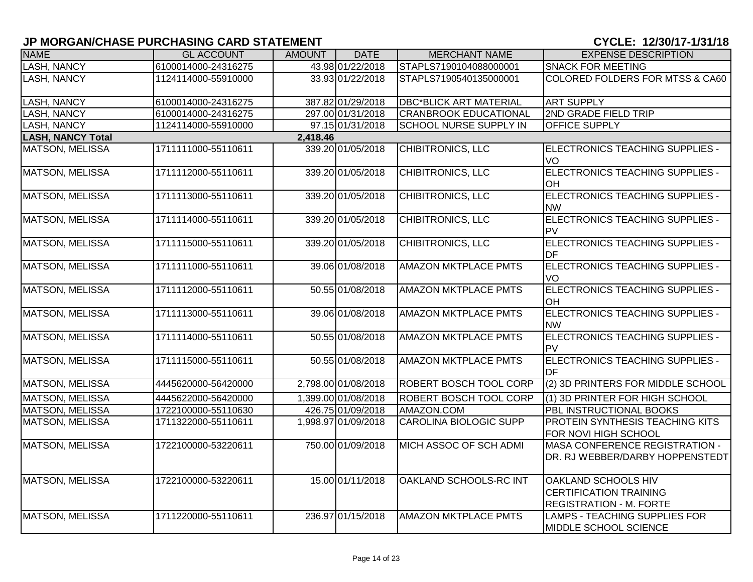| <b>NAME</b>              | <b>GL ACCOUNT</b>   | <b>AMOUNT</b> | <b>DATE</b>         | <b>MERCHANT NAME</b>          | <b>EXPENSE DESCRIPTION</b>                                                                    |
|--------------------------|---------------------|---------------|---------------------|-------------------------------|-----------------------------------------------------------------------------------------------|
| LASH, NANCY              | 6100014000-24316275 |               | 43.98 01/22/2018    | STAPLS7190104088000001        | <b>SNACK FOR MEETING</b>                                                                      |
| <b>LASH, NANCY</b>       | 1124114000-55910000 |               | 33.93 01/22/2018    | STAPLS7190540135000001        | <b>COLORED FOLDERS FOR MTSS &amp; CA60</b>                                                    |
| LASH, NANCY              | 6100014000-24316275 |               | 387.82 01/29/2018   | <b>DBC*BLICK ART MATERIAL</b> | <b>ART SUPPLY</b>                                                                             |
| LASH, NANCY              | 6100014000-24316275 |               | 297.00 01/31/2018   | <b>CRANBROOK EDUCATIONAL</b>  | 2ND GRADE FIELD TRIP                                                                          |
| LASH, NANCY              | 1124114000-55910000 |               | 97.15 01/31/2018    | <b>SCHOOL NURSE SUPPLY IN</b> | OFFICE SUPPLY                                                                                 |
| <b>LASH, NANCY Total</b> |                     | 2,418.46      |                     |                               |                                                                                               |
| <b>MATSON, MELISSA</b>   | 1711111000-55110611 |               | 339.20 01/05/2018   | CHIBITRONICS, LLC             | ELECTRONICS TEACHING SUPPLIES -<br>VO                                                         |
| <b>MATSON, MELISSA</b>   | 1711112000-55110611 |               | 339.20 01/05/2018   | <b>CHIBITRONICS, LLC</b>      | ELECTRONICS TEACHING SUPPLIES -<br><b>OH</b>                                                  |
| <b>MATSON, MELISSA</b>   | 1711113000-55110611 |               | 339.20 01/05/2018   | <b>CHIBITRONICS, LLC</b>      | <b>ELECTRONICS TEACHING SUPPLIES -</b><br><b>NW</b>                                           |
| <b>MATSON, MELISSA</b>   | 1711114000-55110611 |               | 339.20 01/05/2018   | <b>CHIBITRONICS, LLC</b>      | ELECTRONICS TEACHING SUPPLIES -<br>PV                                                         |
| <b>MATSON, MELISSA</b>   | 1711115000-55110611 |               | 339.20 01/05/2018   | <b>CHIBITRONICS, LLC</b>      | ELECTRONICS TEACHING SUPPLIES -<br>IDF                                                        |
| <b>MATSON, MELISSA</b>   | 1711111000-55110611 |               | 39.06 01/08/2018    | <b>AMAZON MKTPLACE PMTS</b>   | ELECTRONICS TEACHING SUPPLIES -<br>VO                                                         |
| <b>MATSON, MELISSA</b>   | 1711112000-55110611 |               | 50.55 01/08/2018    | <b>AMAZON MKTPLACE PMTS</b>   | <b>ELECTRONICS TEACHING SUPPLIES -</b><br><b>OH</b>                                           |
| <b>MATSON, MELISSA</b>   | 1711113000-55110611 |               | 39.06 01/08/2018    | <b>AMAZON MKTPLACE PMTS</b>   | <b>ELECTRONICS TEACHING SUPPLIES -</b><br><b>NW</b>                                           |
| <b>MATSON, MELISSA</b>   | 1711114000-55110611 |               | 50.55 01/08/2018    | <b>AMAZON MKTPLACE PMTS</b>   | ELECTRONICS TEACHING SUPPLIES -<br>PV                                                         |
| <b>MATSON, MELISSA</b>   | 1711115000-55110611 |               | 50.55 01/08/2018    | <b>AMAZON MKTPLACE PMTS</b>   | ELECTRONICS TEACHING SUPPLIES -<br>DF                                                         |
| <b>MATSON, MELISSA</b>   | 4445620000-56420000 |               | 2,798.00 01/08/2018 | <b>ROBERT BOSCH TOOL CORP</b> | (2) 3D PRINTERS FOR MIDDLE SCHOOL                                                             |
| <b>MATSON, MELISSA</b>   | 4445622000-56420000 |               | 1,399.00 01/08/2018 | <b>ROBERT BOSCH TOOL CORP</b> | (1) 3D PRINTER FOR HIGH SCHOOL                                                                |
| <b>MATSON, MELISSA</b>   | 1722100000-55110630 |               | 426.75 01/09/2018   | AMAZON.COM                    | PBL INSTRUCTIONAL BOOKS                                                                       |
| <b>MATSON, MELISSA</b>   | 1711322000-55110611 |               | 1,998.97 01/09/2018 | <b>CAROLINA BIOLOGIC SUPP</b> | <b>PROTEIN SYNTHESIS TEACHING KITS</b><br>FOR NOVI HIGH SCHOOL                                |
| <b>MATSON, MELISSA</b>   | 1722100000-53220611 |               | 750.00 01/09/2018   | MICH ASSOC OF SCH ADMI        | <b>MASA CONFERENCE REGISTRATION -</b><br>DR. RJ WEBBER/DARBY HOPPENSTEDT                      |
| <b>MATSON, MELISSA</b>   | 1722100000-53220611 |               | 15.00 01/11/2018    | OAKLAND SCHOOLS-RC INT        | <b>OAKLAND SCHOOLS HIV</b><br><b>CERTIFICATION TRAINING</b><br><b>REGISTRATION - M. FORTE</b> |
| <b>MATSON, MELISSA</b>   | 1711220000-55110611 |               | 236.97 01/15/2018   | <b>AMAZON MKTPLACE PMTS</b>   | LAMPS - TEACHING SUPPLIES FOR<br>MIDDLE SCHOOL SCIENCE                                        |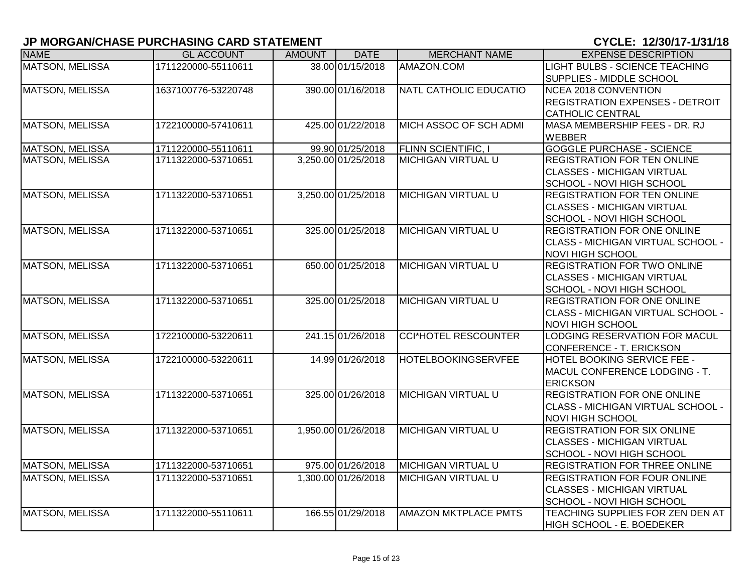| <b>NAME</b>            | <b>GL ACCOUNT</b>   | <b>AMOUNT</b> | <b>DATE</b>         | <b>MERCHANT NAME</b>          | <b>EXPENSE DESCRIPTION</b>             |
|------------------------|---------------------|---------------|---------------------|-------------------------------|----------------------------------------|
| <b>MATSON, MELISSA</b> | 1711220000-55110611 |               | 38.00 01/15/2018    | AMAZON.COM                    | <b>LIGHT BULBS - SCIENCE TEACHING</b>  |
|                        |                     |               |                     |                               | SUPPLIES - MIDDLE SCHOOL               |
| <b>MATSON, MELISSA</b> | 1637100776-53220748 |               | 390.00 01/16/2018   | <b>NATL CATHOLIC EDUCATIO</b> | NCEA 2018 CONVENTION                   |
|                        |                     |               |                     |                               | <b>REGISTRATION EXPENSES - DETROIT</b> |
|                        |                     |               |                     |                               | <b>CATHOLIC CENTRAL</b>                |
| <b>MATSON, MELISSA</b> | 1722100000-57410611 |               | 425.00 01/22/2018   | MICH ASSOC OF SCH ADMI        | MASA MEMBERSHIP FEES - DR. RJ          |
|                        |                     |               |                     |                               | <b>WEBBER</b>                          |
| <b>MATSON, MELISSA</b> | 1711220000-55110611 |               | 99.90 01/25/2018    | FLINN SCIENTIFIC, I           | <b>GOGGLE PURCHASE - SCIENCE</b>       |
| <b>MATSON, MELISSA</b> | 1711322000-53710651 |               | 3,250.00 01/25/2018 | <b>MICHIGAN VIRTUAL U</b>     | REGISTRATION FOR TEN ONLINE            |
|                        |                     |               |                     |                               | <b>CLASSES - MICHIGAN VIRTUAL</b>      |
|                        |                     |               |                     |                               | SCHOOL - NOVI HIGH SCHOOL              |
| <b>MATSON, MELISSA</b> | 1711322000-53710651 |               | 3,250.00 01/25/2018 | <b>MICHIGAN VIRTUAL U</b>     | <b>REGISTRATION FOR TEN ONLINE</b>     |
|                        |                     |               |                     |                               | <b>CLASSES - MICHIGAN VIRTUAL</b>      |
|                        |                     |               |                     |                               | SCHOOL - NOVI HIGH SCHOOL              |
| <b>MATSON, MELISSA</b> | 1711322000-53710651 |               | 325.00 01/25/2018   | <b>MICHIGAN VIRTUAL U</b>     | <b>REGISTRATION FOR ONE ONLINE</b>     |
|                        |                     |               |                     |                               | CLASS - MICHIGAN VIRTUAL SCHOOL -      |
|                        |                     |               |                     |                               | <b>NOVI HIGH SCHOOL</b>                |
| <b>MATSON, MELISSA</b> | 1711322000-53710651 |               | 650.00 01/25/2018   | <b>MICHIGAN VIRTUAL U</b>     | <b>REGISTRATION FOR TWO ONLINE</b>     |
|                        |                     |               |                     |                               | <b>CLASSES - MICHIGAN VIRTUAL</b>      |
|                        |                     |               |                     |                               | SCHOOL - NOVI HIGH SCHOOL              |
| <b>MATSON, MELISSA</b> | 1711322000-53710651 |               | 325.00 01/25/2018   | <b>MICHIGAN VIRTUAL U</b>     | REGISTRATION FOR ONE ONLINE            |
|                        |                     |               |                     |                               | CLASS - MICHIGAN VIRTUAL SCHOOL -      |
|                        |                     |               |                     |                               | <b>NOVI HIGH SCHOOL</b>                |
| <b>MATSON, MELISSA</b> | 1722100000-53220611 |               | 241.15 01/26/2018   | <b>CCI*HOTEL RESCOUNTER</b>   | LODGING RESERVATION FOR MACUL          |
|                        |                     |               |                     |                               | CONFERENCE - T. ERICKSON               |
| <b>MATSON, MELISSA</b> | 1722100000-53220611 |               | 14.99 01/26/2018    | <b>HOTELBOOKINGSERVFEE</b>    | <b>HOTEL BOOKING SERVICE FEE -</b>     |
|                        |                     |               |                     |                               | MACUL CONFERENCE LODGING - T.          |
|                        |                     |               |                     |                               | <b>ERICKSON</b>                        |
| <b>MATSON, MELISSA</b> | 1711322000-53710651 |               | 325.00 01/26/2018   | <b>MICHIGAN VIRTUAL U</b>     | <b>REGISTRATION FOR ONE ONLINE</b>     |
|                        |                     |               |                     |                               | CLASS - MICHIGAN VIRTUAL SCHOOL -      |
|                        |                     |               |                     |                               | <b>NOVI HIGH SCHOOL</b>                |
| <b>MATSON, MELISSA</b> | 1711322000-53710651 |               | 1,950.00 01/26/2018 | <b>MICHIGAN VIRTUAL U</b>     | <b>REGISTRATION FOR SIX ONLINE</b>     |
|                        |                     |               |                     |                               | <b>CLASSES - MICHIGAN VIRTUAL</b>      |
|                        |                     |               |                     |                               | SCHOOL - NOVI HIGH SCHOOL              |
| <b>MATSON, MELISSA</b> | 1711322000-53710651 |               | 975.00 01/26/2018   | <b>MICHIGAN VIRTUAL U</b>     | REGISTRATION FOR THREE ONLINE          |
| <b>MATSON, MELISSA</b> | 1711322000-53710651 |               | 1,300.00 01/26/2018 | <b>MICHIGAN VIRTUAL U</b>     | <b>REGISTRATION FOR FOUR ONLINE</b>    |
|                        |                     |               |                     |                               | <b>CLASSES - MICHIGAN VIRTUAL</b>      |
|                        |                     |               |                     |                               | SCHOOL - NOVI HIGH SCHOOL              |
| <b>MATSON, MELISSA</b> | 1711322000-55110611 |               | 166.55 01/29/2018   | <b>AMAZON MKTPLACE PMTS</b>   | TEACHING SUPPLIES FOR ZEN DEN AT       |
|                        |                     |               |                     |                               | HIGH SCHOOL - E. BOEDEKER              |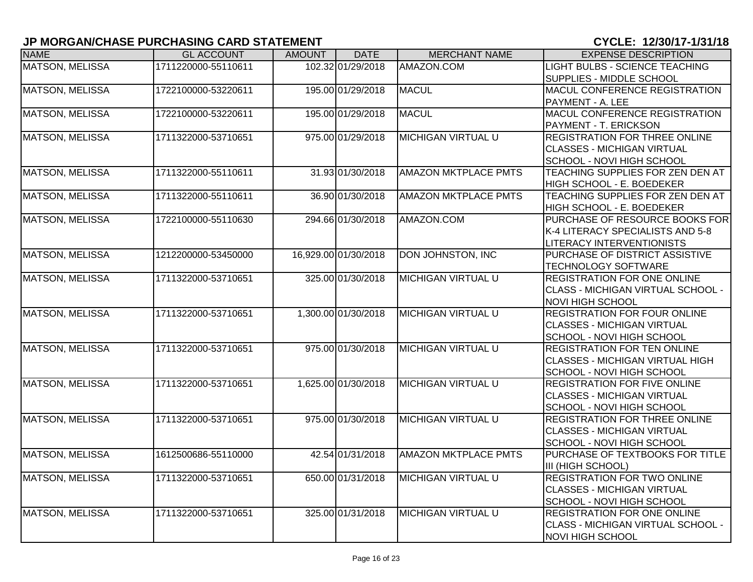| <b>NAME</b>            | <b>GL ACCOUNT</b>   | <b>AMOUNT</b> | <b>DATE</b>          | <b>MERCHANT NAME</b>        | <b>EXPENSE DESCRIPTION</b>             |
|------------------------|---------------------|---------------|----------------------|-----------------------------|----------------------------------------|
| <b>MATSON, MELISSA</b> | 1711220000-55110611 |               | 102.32 01/29/2018    | AMAZON.COM                  | LIGHT BULBS - SCIENCE TEACHING         |
|                        |                     |               |                      |                             | SUPPLIES - MIDDLE SCHOOL               |
| <b>MATSON, MELISSA</b> | 1722100000-53220611 |               | 195.00 01/29/2018    | <b>MACUL</b>                | MACUL CONFERENCE REGISTRATION          |
|                        |                     |               |                      |                             | PAYMENT - A. LEE                       |
| <b>MATSON, MELISSA</b> | 1722100000-53220611 |               | 195.00 01/29/2018    | <b>MACUL</b>                | MACUL CONFERENCE REGISTRATION          |
|                        |                     |               |                      |                             | PAYMENT - T. ERICKSON                  |
| <b>MATSON, MELISSA</b> | 1711322000-53710651 |               | 975.00 01/29/2018    | <b>MICHIGAN VIRTUAL U</b>   | <b>REGISTRATION FOR THREE ONLINE</b>   |
|                        |                     |               |                      |                             | <b>CLASSES - MICHIGAN VIRTUAL</b>      |
|                        |                     |               |                      |                             | SCHOOL - NOVI HIGH SCHOOL              |
| <b>MATSON, MELISSA</b> | 1711322000-55110611 |               | 31.93 01/30/2018     | <b>AMAZON MKTPLACE PMTS</b> | TEACHING SUPPLIES FOR ZEN DEN AT       |
|                        |                     |               |                      |                             | HIGH SCHOOL - E. BOEDEKER              |
| <b>MATSON, MELISSA</b> | 1711322000-55110611 |               | 36.90 01/30/2018     | <b>AMAZON MKTPLACE PMTS</b> | TEACHING SUPPLIES FOR ZEN DEN AT       |
|                        |                     |               |                      |                             | HIGH SCHOOL - E. BOEDEKER              |
| <b>MATSON, MELISSA</b> | 1722100000-55110630 |               | 294.66 01/30/2018    | AMAZON.COM                  | PURCHASE OF RESOURCE BOOKS FOR         |
|                        |                     |               |                      |                             | K-4 LITERACY SPECIALISTS AND 5-8       |
|                        |                     |               |                      |                             | LITERACY INTERVENTIONISTS              |
| <b>MATSON, MELISSA</b> | 1212200000-53450000 |               | 16,929.00 01/30/2018 | <b>DON JOHNSTON, INC</b>    | PURCHASE OF DISTRICT ASSISTIVE         |
|                        |                     |               |                      |                             | <b>TECHNOLOGY SOFTWARE</b>             |
| <b>MATSON, MELISSA</b> | 1711322000-53710651 |               | 325.00 01/30/2018    | <b>MICHIGAN VIRTUAL U</b>   | <b>REGISTRATION FOR ONE ONLINE</b>     |
|                        |                     |               |                      |                             | CLASS - MICHIGAN VIRTUAL SCHOOL -      |
|                        |                     |               |                      |                             | <b>NOVI HIGH SCHOOL</b>                |
| <b>MATSON, MELISSA</b> | 1711322000-53710651 |               | 1,300.00 01/30/2018  | <b>MICHIGAN VIRTUAL U</b>   | <b>REGISTRATION FOR FOUR ONLINE</b>    |
|                        |                     |               |                      |                             | <b>CLASSES - MICHIGAN VIRTUAL</b>      |
|                        |                     |               |                      |                             | SCHOOL - NOVI HIGH SCHOOL              |
| <b>MATSON, MELISSA</b> | 1711322000-53710651 |               | 975.00 01/30/2018    | <b>MICHIGAN VIRTUAL U</b>   | <b>REGISTRATION FOR TEN ONLINE</b>     |
|                        |                     |               |                      |                             | <b>CLASSES - MICHIGAN VIRTUAL HIGH</b> |
|                        |                     |               |                      |                             | SCHOOL - NOVI HIGH SCHOOL              |
| <b>MATSON, MELISSA</b> | 1711322000-53710651 |               | 1,625.00 01/30/2018  | <b>MICHIGAN VIRTUAL U</b>   | <b>REGISTRATION FOR FIVE ONLINE</b>    |
|                        |                     |               |                      |                             | <b>CLASSES - MICHIGAN VIRTUAL</b>      |
|                        |                     |               |                      |                             | SCHOOL - NOVI HIGH SCHOOL              |
| <b>MATSON, MELISSA</b> | 1711322000-53710651 |               | 975.00 01/30/2018    | <b>MICHIGAN VIRTUAL U</b>   | <b>REGISTRATION FOR THREE ONLINE</b>   |
|                        |                     |               |                      |                             | <b>CLASSES - MICHIGAN VIRTUAL</b>      |
|                        |                     |               |                      |                             | SCHOOL - NOVI HIGH SCHOOL              |
| <b>MATSON, MELISSA</b> | 1612500686-55110000 |               | 42.54 01/31/2018     | <b>AMAZON MKTPLACE PMTS</b> | PURCHASE OF TEXTBOOKS FOR TITLE        |
|                        |                     |               |                      |                             | III (HIGH SCHOOL)                      |
| <b>MATSON, MELISSA</b> | 1711322000-53710651 |               | 650.00 01/31/2018    | <b>MICHIGAN VIRTUAL U</b>   | <b>REGISTRATION FOR TWO ONLINE</b>     |
|                        |                     |               |                      |                             | <b>CLASSES - MICHIGAN VIRTUAL</b>      |
|                        |                     |               |                      |                             | SCHOOL - NOVI HIGH SCHOOL              |
| <b>MATSON, MELISSA</b> | 1711322000-53710651 |               | 325.00 01/31/2018    | <b>MICHIGAN VIRTUAL U</b>   | <b>REGISTRATION FOR ONE ONLINE</b>     |
|                        |                     |               |                      |                             | CLASS - MICHIGAN VIRTUAL SCHOOL -      |
|                        |                     |               |                      |                             | <b>NOVI HIGH SCHOOL</b>                |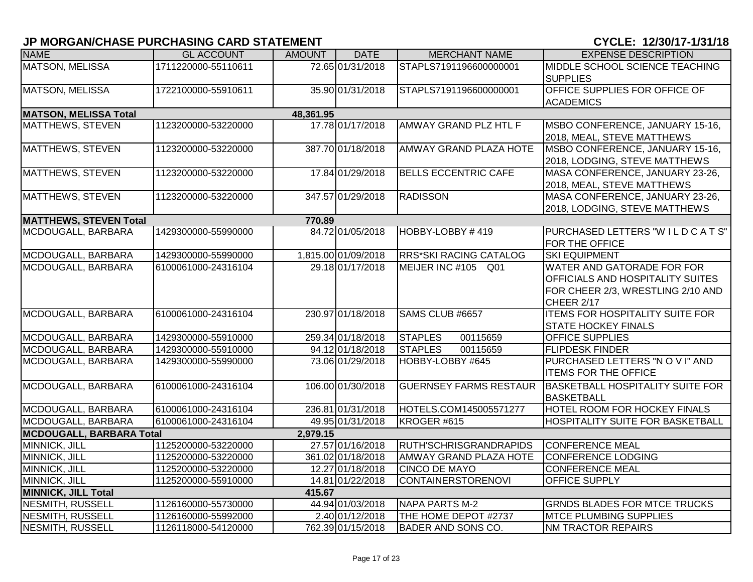| <b>NAME</b>                     | <b>GL ACCOUNT</b>   | <b>AMOUNT</b> | <b>DATE</b>         | <b>MERCHANT NAME</b>          | <b>EXPENSE DESCRIPTION</b>              |
|---------------------------------|---------------------|---------------|---------------------|-------------------------------|-----------------------------------------|
| <b>MATSON, MELISSA</b>          | 1711220000-55110611 |               | 72.65 01/31/2018    | STAPLS7191196600000001        | MIDDLE SCHOOL SCIENCE TEACHING          |
|                                 |                     |               |                     |                               | <b>SUPPLIES</b>                         |
| <b>MATSON, MELISSA</b>          | 1722100000-55910611 |               | 35.90 01/31/2018    | STAPLS7191196600000001        | OFFICE SUPPLIES FOR OFFICE OF           |
|                                 |                     |               |                     |                               | <b>ACADEMICS</b>                        |
| <b>MATSON, MELISSA Total</b>    |                     | 48,361.95     |                     |                               |                                         |
| MATTHEWS, STEVEN                | 1123200000-53220000 |               | 17.78 01/17/2018    | AMWAY GRAND PLZ HTL F         | MSBO CONFERENCE, JANUARY 15-16,         |
|                                 |                     |               |                     |                               | 2018, MEAL, STEVE MATTHEWS              |
| MATTHEWS, STEVEN                | 1123200000-53220000 |               | 387.70 01/18/2018   | <b>AMWAY GRAND PLAZA HOTE</b> | MSBO CONFERENCE, JANUARY 15-16,         |
|                                 |                     |               |                     |                               | 2018, LODGING, STEVE MATTHEWS           |
| MATTHEWS, STEVEN                | 1123200000-53220000 |               | 17.84 01/29/2018    | <b>BELLS ECCENTRIC CAFE</b>   | MASA CONFERENCE, JANUARY 23-26,         |
|                                 |                     |               |                     |                               | 2018, MEAL, STEVE MATTHEWS              |
| <b>MATTHEWS, STEVEN</b>         | 1123200000-53220000 |               | 347.57 01/29/2018   | <b>RADISSON</b>               | MASA CONFERENCE, JANUARY 23-26,         |
|                                 |                     |               |                     |                               | 2018, LODGING, STEVE MATTHEWS           |
| <b>MATTHEWS, STEVEN Total</b>   |                     | 770.89        |                     |                               |                                         |
| MCDOUGALL, BARBARA              | 1429300000-55990000 |               | 84.72 01/05/2018    | HOBBY-LOBBY #419              | PURCHASED LETTERS "WILDCATS"            |
|                                 |                     |               |                     |                               | FOR THE OFFICE                          |
| MCDOUGALL, BARBARA              | 1429300000-55990000 |               | 1,815.00 01/09/2018 | <b>RRS*SKI RACING CATALOG</b> | <b>SKI EQUIPMENT</b>                    |
| MCDOUGALL, BARBARA              | 6100061000-24316104 |               | 29.18 01/17/2018    | MEIJER INC #105 Q01           | WATER AND GATORADE FOR FOR              |
|                                 |                     |               |                     |                               | OFFICIALS AND HOSPITALITY SUITES        |
|                                 |                     |               |                     |                               | FOR CHEER 2/3, WRESTLING 2/10 AND       |
|                                 |                     |               |                     |                               | CHEER 2/17                              |
| MCDOUGALL, BARBARA              | 6100061000-24316104 |               | 230.97 01/18/2018   | SAMS CLUB #6657               | <b>ITEMS FOR HOSPITALITY SUITE FOR</b>  |
|                                 |                     |               |                     |                               | <b>STATE HOCKEY FINALS</b>              |
| MCDOUGALL, BARBARA              | 1429300000-55910000 |               | 259.34 01/18/2018   | <b>STAPLES</b><br>00115659    | <b>OFFICE SUPPLIES</b>                  |
| MCDOUGALL, BARBARA              | 1429300000-55910000 |               | 94.12 01/18/2018    | <b>STAPLES</b><br>00115659    | <b>FLIPDESK FINDER</b>                  |
| MCDOUGALL, BARBARA              | 1429300000-55990000 |               | 73.06 01/29/2018    | HOBBY-LOBBY #645              | PURCHASED LETTERS "NOVI" AND            |
|                                 |                     |               |                     |                               | <b>ITEMS FOR THE OFFICE</b>             |
| MCDOUGALL, BARBARA              | 6100061000-24316104 |               | 106.00 01/30/2018   | <b>GUERNSEY FARMS RESTAUR</b> | <b>BASKETBALL HOSPITALITY SUITE FOR</b> |
|                                 |                     |               |                     |                               | <b>BASKETBALL</b>                       |
| MCDOUGALL, BARBARA              | 6100061000-24316104 |               | 236.81 01/31/2018   | HOTELS.COM145005571277        | HOTEL ROOM FOR HOCKEY FINALS            |
| MCDOUGALL, BARBARA              | 6100061000-24316104 |               | 49.95 01/31/2018    | KROGER #615                   | <b>HOSPITALITY SUITE FOR BASKETBALL</b> |
| <b>MCDOUGALL, BARBARA Total</b> |                     | 2,979.15      |                     |                               |                                         |
| MINNICK, JILL                   | 1125200000-53220000 |               | 27.57 01/16/2018    | <b>RUTH'SCHRISGRANDRAPIDS</b> | <b>CONFERENCE MEAL</b>                  |
| MINNICK, JILL                   | 1125200000-53220000 |               | 361.02 01/18/2018   | <b>AMWAY GRAND PLAZA HOTE</b> | <b>CONFERENCE LODGING</b>               |
| MINNICK, JILL                   | 1125200000-53220000 |               | 12.27 01/18/2018    | <b>CINCO DE MAYO</b>          | <b>CONFERENCE MEAL</b>                  |
| <b>MINNICK, JILL</b>            | 1125200000-55910000 |               | 14.81 01/22/2018    | <b>CONTAINERSTORENOVI</b>     | OFFICE SUPPLY                           |
| <b>MINNICK, JILL Total</b>      |                     | 415.67        |                     |                               |                                         |
| <b>NESMITH, RUSSELL</b>         | 1126160000-55730000 |               | 44.94 01/03/2018    | NAPA PARTS M-2                | <b>GRNDS BLADES FOR MTCE TRUCKS</b>     |
| NESMITH, RUSSELL                | 1126160000-55992000 |               | 2.40 01/12/2018     | THE HOME DEPOT #2737          | <b>MTCE PLUMBING SUPPLIES</b>           |
| NESMITH, RUSSELL                | 1126118000-54120000 |               | 762.39 01/15/2018   | <b>BADER AND SONS CO.</b>     | <b>NM TRACTOR REPAIRS</b>               |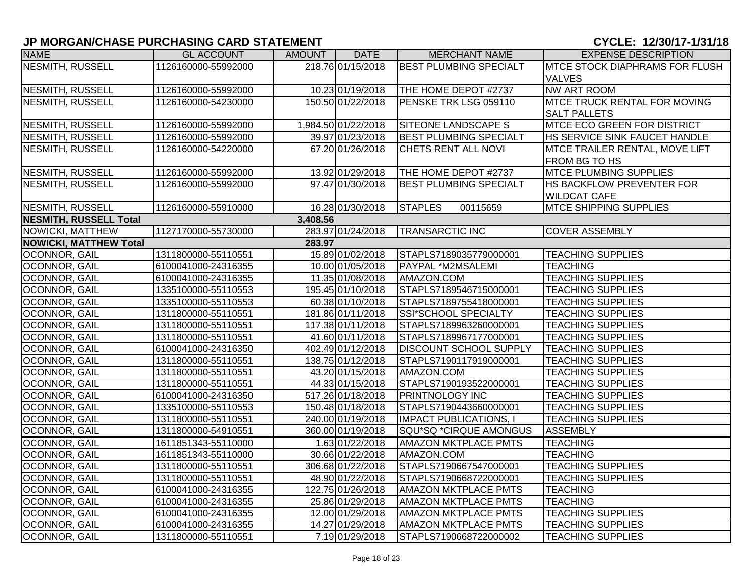| <b>NAME</b>                   | <b>GL ACCOUNT</b>   | AMOUNT   | DATE                | <b>MERCHANT NAME</b>          | <b>EXPENSE DESCRIPTION</b>             |
|-------------------------------|---------------------|----------|---------------------|-------------------------------|----------------------------------------|
| NESMITH, RUSSELL              | 1126160000-55992000 |          | 218.76 01/15/2018   | <b>BEST PLUMBING SPECIALT</b> | <b>IMTCE STOCK DIAPHRAMS FOR FLUSH</b> |
|                               |                     |          |                     |                               | <b>VALVES</b>                          |
| NESMITH, RUSSELL              | 1126160000-55992000 |          | 10.23 01/19/2018    | THE HOME DEPOT #2737          | <b>NW ART ROOM</b>                     |
| NESMITH, RUSSELL              | 1126160000-54230000 |          | 150.50 01/22/2018   | PENSKE TRK LSG 059110         | MTCE TRUCK RENTAL FOR MOVING           |
|                               |                     |          |                     |                               | <b>SALT PALLETS</b>                    |
| NESMITH, RUSSELL              | 1126160000-55992000 |          | 1,984.50 01/22/2018 | <b>SITEONE LANDSCAPE S</b>    | <b>MTCE ECO GREEN FOR DISTRICT</b>     |
| NESMITH, RUSSELL              | 1126160000-55992000 |          | 39.97 01/23/2018    | <b>BEST PLUMBING SPECIALT</b> | HS SERVICE SINK FAUCET HANDLE          |
| NESMITH, RUSSELL              | 1126160000-54220000 |          | 67.20 01/26/2018    | CHETS RENT ALL NOVI           | MTCE TRAILER RENTAL, MOVE LIFT         |
|                               |                     |          |                     |                               | FROM BG TO HS                          |
| <b>NESMITH, RUSSELL</b>       | 1126160000-55992000 |          | 13.92 01/29/2018    | THE HOME DEPOT #2737          | <b>MTCE PLUMBING SUPPLIES</b>          |
| NESMITH, RUSSELL              | 1126160000-55992000 |          | 97.47 01/30/2018    | <b>BEST PLUMBING SPECIALT</b> | HS BACKFLOW PREVENTER FOR              |
|                               |                     |          |                     |                               | <b>WILDCAT CAFE</b>                    |
| NESMITH, RUSSELL              | 1126160000-55910000 |          | 16.28 01/30/2018    | <b>STAPLES</b><br>00115659    | <b>MTCE SHIPPING SUPPLIES</b>          |
| <b>NESMITH, RUSSELL Total</b> |                     | 3,408.56 |                     |                               |                                        |
| NOWICKI, MATTHEW              | 1127170000-55730000 |          | 283.97 01/24/2018   | <b>TRANSARCTIC INC</b>        | <b>COVER ASSEMBLY</b>                  |
| <b>NOWICKI, MATTHEW Total</b> |                     | 283.97   |                     |                               |                                        |
| <b>OCONNOR, GAIL</b>          | 1311800000-55110551 |          | 15.89 01/02/2018    | STAPLS7189035779000001        | <b>TEACHING SUPPLIES</b>               |
| <b>OCONNOR, GAIL</b>          | 6100041000-24316355 |          | 10.00 01/05/2018    | PAYPAL *M2MSALEMI             | <b>TEACHING</b>                        |
| <b>OCONNOR, GAIL</b>          | 6100041000-24316355 |          | 11.35 01/08/2018    | AMAZON.COM                    | <b>TEACHING SUPPLIES</b>               |
| OCONNOR, GAIL                 | 1335100000-55110553 |          | 195.45 01/10/2018   | STAPLS7189546715000001        | <b>TEACHING SUPPLIES</b>               |
| OCONNOR, GAIL                 | 1335100000-55110553 |          | 60.38 01/10/2018    | STAPLS7189755418000001        | <b>TEACHING SUPPLIES</b>               |
| OCONNOR, GAIL                 | 1311800000-55110551 |          | 181.86 01/11/2018   | SSI*SCHOOL SPECIALTY          | <b>TEACHING SUPPLIES</b>               |
| OCONNOR, GAIL                 | 1311800000-55110551 |          | 117.38 01/11/2018   | STAPLS7189963260000001        | <b>TEACHING SUPPLIES</b>               |
| <b>OCONNOR, GAIL</b>          | 1311800000-55110551 |          | 41.60 01/11/2018    | STAPLS7189967177000001        | <b>TEACHING SUPPLIES</b>               |
| OCONNOR, GAIL                 | 6100041000-24316350 |          | 402.49 01/12/2018   | DISCOUNT SCHOOL SUPPLY        | <b>TEACHING SUPPLIES</b>               |
| <b>OCONNOR, GAIL</b>          | 1311800000-55110551 |          | 138.75 01/12/2018   | STAPLS7190117919000001        | <b>TEACHING SUPPLIES</b>               |
| OCONNOR, GAIL                 | 1311800000-55110551 |          | 43.20 01/15/2018    | AMAZON.COM                    | <b>TEACHING SUPPLIES</b>               |
| OCONNOR, GAIL                 | 1311800000-55110551 |          | 44.33 01/15/2018    | STAPLS7190193522000001        | <b>TEACHING SUPPLIES</b>               |
| OCONNOR, GAIL                 | 6100041000-24316350 |          | 517.26 01/18/2018   | <b>PRINTNOLOGY INC</b>        | <b>TEACHING SUPPLIES</b>               |
| OCONNOR, GAIL                 | 1335100000-55110553 |          | 150.48 01/18/2018   | STAPLS7190443660000001        | <b>TEACHING SUPPLIES</b>               |
| <b>OCONNOR, GAIL</b>          | 1311800000-55110551 |          | 240.00 01/19/2018   | <b>IMPACT PUBLICATIONS, I</b> | <b>TEACHING SUPPLIES</b>               |
| OCONNOR, GAIL                 | 1311800000-54910551 |          | 360.00 01/19/2018   | SQU*SQ *CIRQUE AMONGUS        | <b>ASSEMBLY</b>                        |
| <b>OCONNOR, GAIL</b>          | 1611851343-55110000 |          | 1.63 01/22/2018     | <b>AMAZON MKTPLACE PMTS</b>   | <b>TEACHING</b>                        |
| OCONNOR, GAIL                 | 1611851343-55110000 |          | 30.66 01/22/2018    | AMAZON.COM                    | <b>TEACHING</b>                        |
| OCONNOR, GAIL                 | 1311800000-55110551 |          | 306.68 01/22/2018   | STAPLS7190667547000001        | <b>TEACHING SUPPLIES</b>               |
| OCONNOR, GAIL                 | 1311800000-55110551 |          | 48.90 01/22/2018    | STAPLS7190668722000001        | <b>TEACHING SUPPLIES</b>               |
| OCONNOR, GAIL                 | 6100041000-24316355 |          | 122.75 01/26/2018   | <b>AMAZON MKTPLACE PMTS</b>   | <b>TEACHING</b>                        |
| <b>OCONNOR, GAIL</b>          | 6100041000-24316355 |          | 25.86 01/29/2018    | <b>AMAZON MKTPLACE PMTS</b>   | <b>TEACHING</b>                        |
| OCONNOR, GAIL                 | 6100041000-24316355 |          | 12.00 01/29/2018    | <b>AMAZON MKTPLACE PMTS</b>   | <b>TEACHING SUPPLIES</b>               |
| OCONNOR, GAIL                 | 6100041000-24316355 |          | 14.27 01/29/2018    | <b>AMAZON MKTPLACE PMTS</b>   | <b>TEACHING SUPPLIES</b>               |
| <b>OCONNOR, GAIL</b>          | 1311800000-55110551 |          | 7.19 01/29/2018     | STAPLS7190668722000002        | <b>TEACHING SUPPLIES</b>               |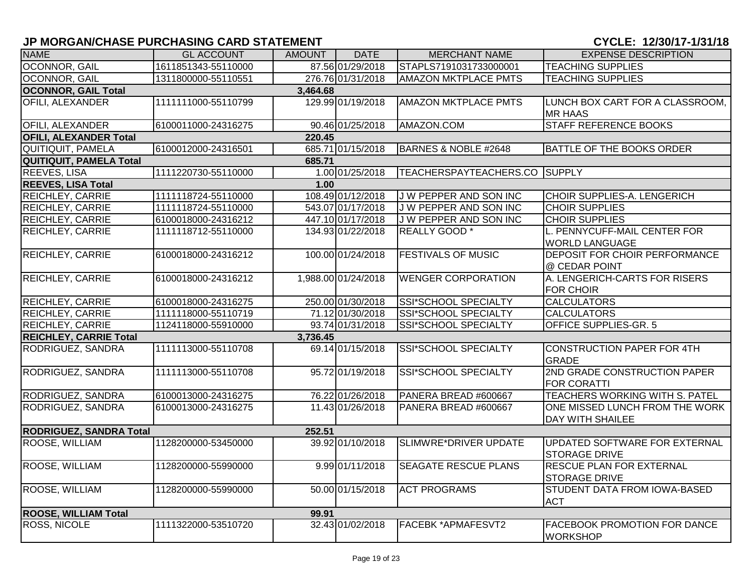| <b>NAME</b>                    | <b>GL ACCOUNT</b>   | <b>AMOUNT</b> | <b>DATE</b>         | <b>MERCHANT NAME</b>          | <b>EXPENSE DESCRIPTION</b>                                |
|--------------------------------|---------------------|---------------|---------------------|-------------------------------|-----------------------------------------------------------|
| OCONNOR, GAIL                  | 1611851343-55110000 |               | 87.56 01/29/2018    | STAPLS7191031733000001        | <b>TEACHING SUPPLIES</b>                                  |
| OCONNOR, GAIL                  | 1311800000-55110551 |               | 276.76 01/31/2018   | <b>AMAZON MKTPLACE PMTS</b>   | <b>TEACHING SUPPLIES</b>                                  |
| <b>OCONNOR, GAIL Total</b>     |                     | 3,464.68      |                     |                               |                                                           |
| OFILI, ALEXANDER               | 1111111000-55110799 |               | 129.99 01/19/2018   | <b>AMAZON MKTPLACE PMTS</b>   | LUNCH BOX CART FOR A CLASSROOM,<br><b>MR HAAS</b>         |
| OFILI, ALEXANDER               | 6100011000-24316275 |               | 90.46 01/25/2018    | AMAZON.COM                    | <b>STAFF REFERENCE BOOKS</b>                              |
| <b>OFILI, ALEXANDER Total</b>  |                     | 220.45        |                     |                               |                                                           |
| <b>QUITIQUIT, PAMELA</b>       | 6100012000-24316501 |               | 685.71 01/15/2018   | BARNES & NOBLE #2648          | <b>BATTLE OF THE BOOKS ORDER</b>                          |
| <b>QUITIQUIT, PAMELA Total</b> |                     | 685.71        |                     |                               |                                                           |
| <b>REEVES, LISA</b>            | 1111220730-55110000 |               | 1.00 01/25/2018     | TEACHERSPAYTEACHERS.CO SUPPLY |                                                           |
| <b>REEVES, LISA Total</b>      |                     | 1.00          |                     |                               |                                                           |
| REICHLEY, CARRIE               | 1111118724-55110000 |               | 108.49 01/12/2018   | J W PEPPER AND SON INC        | <b>CHOIR SUPPLIES-A. LENGERICH</b>                        |
| REICHLEY, CARRIE               | 1111118724-55110000 |               | 543.07 01/17/2018   | J W PEPPER AND SON INC        | <b>CHOIR SUPPLIES</b>                                     |
| REICHLEY, CARRIE               | 6100018000-24316212 |               | 447.10 01/17/2018   | <b>JW PEPPER AND SON INC</b>  | <b>CHOIR SUPPLIES</b>                                     |
| <b>REICHLEY, CARRIE</b>        | 1111118712-55110000 |               | 134.93 01/22/2018   | <b>REALLY GOOD</b> *          | L. PENNYCUFF-MAIL CENTER FOR<br><b>WORLD LANGUAGE</b>     |
| REICHLEY, CARRIE               | 6100018000-24316212 |               | 100.00 01/24/2018   | <b>FESTIVALS OF MUSIC</b>     | DEPOSIT FOR CHOIR PERFORMANCE<br>@ CEDAR POINT            |
| REICHLEY, CARRIE               | 6100018000-24316212 |               | 1,988.00 01/24/2018 | <b>WENGER CORPORATION</b>     | A. LENGERICH-CARTS FOR RISERS<br><b>FOR CHOIR</b>         |
| <b>REICHLEY, CARRIE</b>        | 6100018000-24316275 |               | 250.00 01/30/2018   | <b>SSI*SCHOOL SPECIALTY</b>   | <b>CALCULATORS</b>                                        |
| <b>REICHLEY, CARRIE</b>        | 1111118000-55110719 |               | 71.12 01/30/2018    | SSI*SCHOOL SPECIALTY          | <b>CALCULATORS</b>                                        |
| <b>REICHLEY, CARRIE</b>        | 1124118000-55910000 |               | 93.74 01/31/2018    | SSI*SCHOOL SPECIALTY          | <b>OFFICE SUPPLIES-GR. 5</b>                              |
| <b>REICHLEY, CARRIE Total</b>  |                     | 3,736.45      |                     |                               |                                                           |
| RODRIGUEZ, SANDRA              | 1111113000-55110708 |               | 69.14 01/15/2018    | SSI*SCHOOL SPECIALTY          | <b>CONSTRUCTION PAPER FOR 4TH</b><br><b>GRADE</b>         |
| RODRIGUEZ, SANDRA              | 1111113000-55110708 |               | 95.72 01/19/2018    | SSI*SCHOOL SPECIALTY          | 2ND GRADE CONSTRUCTION PAPER<br><b>FOR CORATTI</b>        |
| RODRIGUEZ, SANDRA              | 6100013000-24316275 |               | 76.22 01/26/2018    | PANERA BREAD #600667          | <b>TEACHERS WORKING WITH S. PATEL</b>                     |
| RODRIGUEZ, SANDRA              | 6100013000-24316275 |               | 11.43 01/26/2018    | PANERA BREAD #600667          | ONE MISSED LUNCH FROM THE WORK<br><b>DAY WITH SHAILEE</b> |
| <b>RODRIGUEZ, SANDRA Total</b> |                     | 252.51        |                     |                               |                                                           |
| ROOSE, WILLIAM                 | 1128200000-53450000 |               | 39.92 01/10/2018    | SLIMWRE*DRIVER UPDATE         | UPDATED SOFTWARE FOR EXTERNAL<br><b>STORAGE DRIVE</b>     |
| ROOSE, WILLIAM                 | 1128200000-55990000 |               | 9.99 01/11/2018     | <b>SEAGATE RESCUE PLANS</b>   | RESCUE PLAN FOR EXTERNAL<br><b>STORAGE DRIVE</b>          |
| ROOSE, WILLIAM                 | 1128200000-55990000 |               | 50.00 01/15/2018    | <b>ACT PROGRAMS</b>           | STUDENT DATA FROM IOWA-BASED<br><b>ACT</b>                |
| <b>ROOSE, WILLIAM Total</b>    |                     | 99.91         |                     |                               |                                                           |
| <b>ROSS, NICOLE</b>            | 1111322000-53510720 |               | 32.43 01/02/2018    | FACEBK *APMAFESVT2            | <b>FACEBOOK PROMOTION FOR DANCE</b><br><b>WORKSHOP</b>    |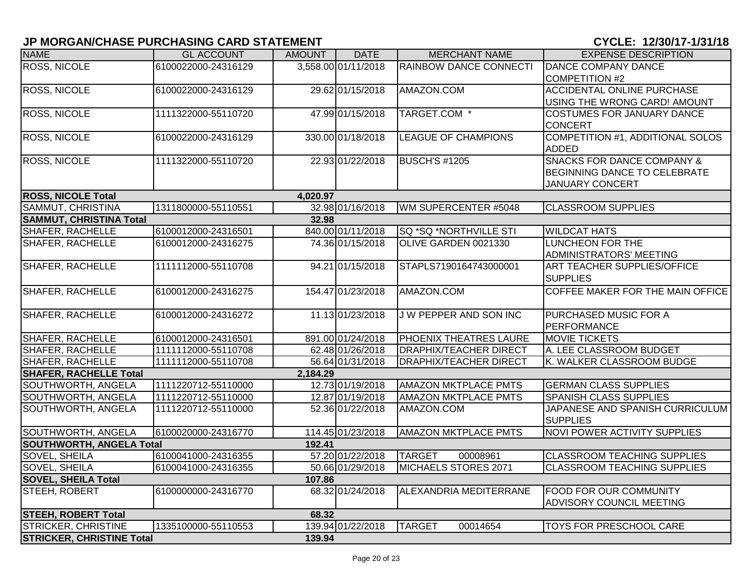| <b>NAME</b>                      | <b>GL ACCOUNT</b>   | AMOUNT   | <b>DATE</b>         | <b>MERCHANT NAME</b>          | <b>EXPENSE DESCRIPTION</b>            |
|----------------------------------|---------------------|----------|---------------------|-------------------------------|---------------------------------------|
| <b>ROSS, NICOLE</b>              | 6100022000-24316129 |          | 3,558.00 01/11/2018 | RAINBOW DANCE CONNECTI        | DANCE COMPANY DANCE                   |
|                                  |                     |          |                     |                               | COMPETITION #2                        |
| <b>ROSS, NICOLE</b>              | 6100022000-24316129 |          | 29.62 01/15/2018    | AMAZON.COM                    | <b>ACCIDENTAL ONLINE PURCHASE</b>     |
|                                  |                     |          |                     |                               | USING THE WRONG CARD! AMOUNT          |
| <b>ROSS, NICOLE</b>              | 1111322000-55110720 |          | 47.99 01/15/2018    | TARGET.COM *                  | <b>COSTUMES FOR JANUARY DANCE</b>     |
|                                  |                     |          |                     |                               | <b>CONCERT</b>                        |
| <b>ROSS, NICOLE</b>              | 6100022000-24316129 |          | 330.00 01/18/2018   | <b>LEAGUE OF CHAMPIONS</b>    | COMPETITION #1, ADDITIONAL SOLOS      |
|                                  |                     |          |                     |                               | ADDED                                 |
| <b>ROSS, NICOLE</b>              | 1111322000-55110720 |          | 22.93 01/22/2018    | <b>BUSCH'S #1205</b>          | <b>SNACKS FOR DANCE COMPANY &amp;</b> |
|                                  |                     |          |                     |                               | <b>BEGINNING DANCE TO CELEBRATE</b>   |
|                                  |                     |          |                     |                               | <b>JANUARY CONCERT</b>                |
| <b>ROSS, NICOLE Total</b>        |                     | 4,020.97 |                     |                               |                                       |
| SAMMUT, CHRISTINA                | 1311800000-55110551 |          | 32.98 01/16/2018    | WM SUPERCENTER #5048          | <b>CLASSROOM SUPPLIES</b>             |
| <b>SAMMUT, CHRISTINA Total</b>   |                     | 32.98    |                     |                               |                                       |
| <b>SHAFER, RACHELLE</b>          | 6100012000-24316501 |          | 840.00 01/11/2018   | SQ *SQ *NORTHVILLE STI        | <b>WILDCAT HATS</b>                   |
| <b>SHAFER, RACHELLE</b>          | 6100012000-24316275 |          | 74.36 01/15/2018    | OLIVE GARDEN 0021330          | <b>LUNCHEON FOR THE</b>               |
|                                  |                     |          |                     |                               | <b>ADMINISTRATORS' MEETING</b>        |
| <b>SHAFER, RACHELLE</b>          | 1111112000-55110708 |          | 94.21 01/15/2018    | STAPLS7190164743000001        | ART TEACHER SUPPLIES/OFFICE           |
|                                  |                     |          |                     |                               | <b>SUPPLIES</b>                       |
| <b>SHAFER, RACHELLE</b>          | 6100012000-24316275 |          | 154.47 01/23/2018   | AMAZON.COM                    | COFFEE MAKER FOR THE MAIN OFFICE      |
|                                  |                     |          |                     |                               |                                       |
| <b>SHAFER, RACHELLE</b>          | 6100012000-24316272 |          | 11.13 01/23/2018    | J W PEPPER AND SON INC        | PURCHASED MUSIC FOR A                 |
|                                  |                     |          |                     |                               | <b>PERFORMANCE</b>                    |
| <b>SHAFER, RACHELLE</b>          | 6100012000-24316501 |          | 891.00 01/24/2018   | PHOENIX THEATRES LAURE        | <b>MOVIE TICKETS</b>                  |
| <b>SHAFER, RACHELLE</b>          | 1111112000-55110708 |          | 62.48 01/26/2018    | <b>DRAPHIX/TEACHER DIRECT</b> | A. LEE CLASSROOM BUDGET               |
| <b>SHAFER, RACHELLE</b>          | 1111112000-55110708 |          | 56.64 01/31/2018    | <b>DRAPHIX/TEACHER DIRECT</b> | K. WALKER CLASSROOM BUDGE             |
| <b>SHAFER, RACHELLE Total</b>    |                     | 2,184.29 |                     |                               |                                       |
| SOUTHWORTH, ANGELA               | 1111220712-55110000 |          | 12.73 01/19/2018    | <b>AMAZON MKTPLACE PMTS</b>   | <b>GERMAN CLASS SUPPLIES</b>          |
| SOUTHWORTH, ANGELA               | 1111220712-55110000 |          | 12.87 01/19/2018    | <b>AMAZON MKTPLACE PMTS</b>   | <b>SPANISH CLASS SUPPLIES</b>         |
| SOUTHWORTH, ANGELA               | 1111220712-55110000 |          | 52.36 01/22/2018    | AMAZON.COM                    | JAPANESE AND SPANISH CURRICULUM       |
|                                  |                     |          |                     |                               | <b>SUPPLIES</b>                       |
| SOUTHWORTH, ANGELA               | 6100020000-24316770 |          | 114.45 01/23/2018   | AMAZON MKTPLACE PMTS          | NOVI POWER ACTIVITY SUPPLIES          |
| <b>SOUTHWORTH, ANGELA Total</b>  |                     | 192.41   |                     |                               |                                       |
| SOVEL, SHEILA                    | 6100041000-24316355 |          | 57.20 01/22/2018    | <b>TARGET</b><br>00008961     | <b>CLASSROOM TEACHING SUPPLIES</b>    |
| <b>SOVEL, SHEILA</b>             | 6100041000-24316355 |          | 50.66 01/29/2018    | MICHAELS STORES 2071          | <b>CLASSROOM TEACHING SUPPLIES</b>    |
| <b>SOVEL, SHEILA Total</b>       |                     | 107.86   |                     |                               |                                       |
| STEEH, ROBERT                    | 6100000000-24316770 |          | 68.32 01/24/2018    | ALEXANDRIA MEDITERRANE        | <b>FOOD FOR OUR COMMUNITY</b>         |
|                                  |                     |          |                     |                               | <b>ADVISORY COUNCIL MEETING</b>       |
| <b>STEEH, ROBERT Total</b>       |                     | 68.32    |                     |                               |                                       |
| <b>STRICKER, CHRISTINE</b>       | 1335100000-55110553 |          | 139.94 01/22/2018   | <b>TARGET</b><br>00014654     | <b>TOYS FOR PRESCHOOL CARE</b>        |
| <b>STRICKER, CHRISTINE Total</b> |                     | 139.94   |                     |                               |                                       |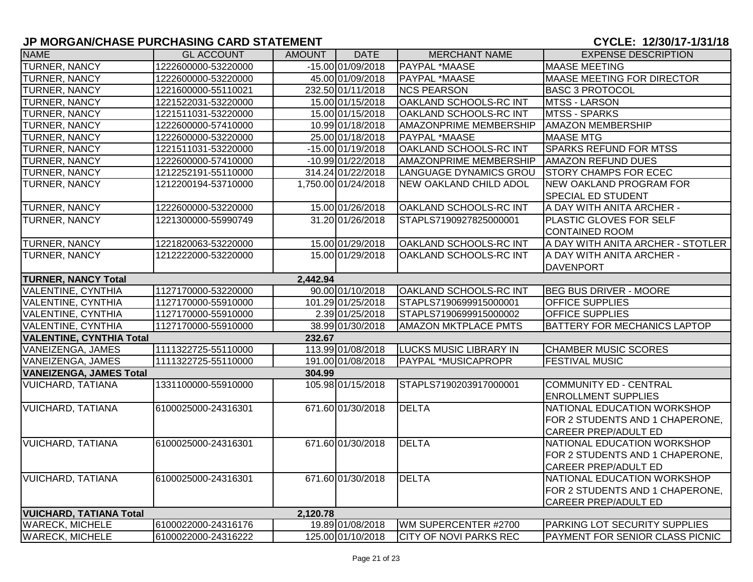| <b>NAME</b>                            | <b>GL ACCOUNT</b>   | <b>AMOUNT</b> | <b>DATE</b>         | <b>MERCHANT NAME</b>          | <b>EXPENSE DESCRIPTION</b>           |  |  |  |
|----------------------------------------|---------------------|---------------|---------------------|-------------------------------|--------------------------------------|--|--|--|
| TURNER, NANCY                          | 1222600000-53220000 |               | $-15.00$ 01/09/2018 | <b>PAYPAL *MAASE</b>          | <b>MAASE MEETING</b>                 |  |  |  |
| <b>TURNER, NANCY</b>                   | 1222600000-53220000 |               | 45.00 01/09/2018    | PAYPAL *MAASE                 | MAASE MEETING FOR DIRECTOR           |  |  |  |
| <b>TURNER, NANCY</b>                   | 1221600000-55110021 |               | 232.50 01/11/2018   | <b>NCS PEARSON</b>            | <b>BASC 3 PROTOCOL</b>               |  |  |  |
| <b>TURNER, NANCY</b>                   | 1221522031-53220000 |               | 15.00 01/15/2018    | OAKLAND SCHOOLS-RC INT        | <b>MTSS - LARSON</b>                 |  |  |  |
| TURNER, NANCY                          | 1221511031-53220000 |               | 15.00 01/15/2018    | OAKLAND SCHOOLS-RC INT        | MTSS - SPARKS                        |  |  |  |
| <b>TURNER, NANCY</b>                   | 1222600000-57410000 |               | 10.99 01/18/2018    | <b>AMAZONPRIME MEMBERSHIP</b> | <b>AMAZON MEMBERSHIP</b>             |  |  |  |
| <b>TURNER, NANCY</b>                   | 1222600000-53220000 |               | 25.00 01/18/2018    | PAYPAL *MAASE                 | <b>MAASE MTG</b>                     |  |  |  |
| <b>TURNER, NANCY</b>                   | 1221511031-53220000 |               | -15.00 01/19/2018   | OAKLAND SCHOOLS-RC INT        | <b>SPARKS REFUND FOR MTSS</b>        |  |  |  |
| TURNER, NANCY                          | 1222600000-57410000 |               | -10.99 01/22/2018   | <b>AMAZONPRIME MEMBERSHIP</b> | <b>AMAZON REFUND DUES</b>            |  |  |  |
| <b>TURNER, NANCY</b>                   | 1212252191-55110000 |               | 314.24 01/22/2018   | LANGUAGE DYNAMICS GROU        | <b>STORY CHAMPS FOR ECEC</b>         |  |  |  |
| <b>TURNER, NANCY</b>                   | 1212200194-53710000 |               | 1,750.00 01/24/2018 | <b>NEW OAKLAND CHILD ADOL</b> | <b>NEW OAKLAND PROGRAM FOR</b>       |  |  |  |
|                                        |                     |               |                     |                               | <b>SPECIAL ED STUDENT</b>            |  |  |  |
| <b>TURNER, NANCY</b>                   | 1222600000-53220000 |               | 15.00 01/26/2018    | OAKLAND SCHOOLS-RC INT        | A DAY WITH ANITA ARCHER -            |  |  |  |
| <b>TURNER, NANCY</b>                   | 1221300000-55990749 |               | 31.20 01/26/2018    | STAPLS7190927825000001        | PLASTIC GLOVES FOR SELF              |  |  |  |
|                                        |                     |               |                     |                               | <b>CONTAINED ROOM</b>                |  |  |  |
| <b>TURNER, NANCY</b>                   | 1221820063-53220000 |               | 15.00 01/29/2018    | OAKLAND SCHOOLS-RC INT        | A DAY WITH ANITA ARCHER - STOTLER    |  |  |  |
| <b>TURNER, NANCY</b>                   | 1212222000-53220000 |               | 15.00 01/29/2018    | OAKLAND SCHOOLS-RC INT        | A DAY WITH ANITA ARCHER -            |  |  |  |
|                                        |                     |               |                     |                               | <b>DAVENPORT</b>                     |  |  |  |
| <b>TURNER, NANCY Total</b><br>2,442.94 |                     |               |                     |                               |                                      |  |  |  |
| <b>VALENTINE, CYNTHIA</b>              | 1127170000-53220000 |               | 90.00 01/10/2018    | OAKLAND SCHOOLS-RC INT        | <b>BEG BUS DRIVER - MOORE</b>        |  |  |  |
| <b>VALENTINE, CYNTHIA</b>              | 1127170000-55910000 |               | 101.29 01/25/2018   | STAPLS7190699915000001        | <b>OFFICE SUPPLIES</b>               |  |  |  |
| <b>VALENTINE, CYNTHIA</b>              | 1127170000-55910000 |               | 2.39 01/25/2018     | STAPLS7190699915000002        | <b>OFFICE SUPPLIES</b>               |  |  |  |
| <b>VALENTINE, CYNTHIA</b>              | 1127170000-55910000 |               | 38.99 01/30/2018    | <b>AMAZON MKTPLACE PMTS</b>   | <b>BATTERY FOR MECHANICS LAPTOP</b>  |  |  |  |
| <b>VALENTINE, CYNTHIA Total</b>        |                     | 232.67        |                     |                               |                                      |  |  |  |
| VANEIZENGA, JAMES                      | 1111322725-55110000 |               | 113.99 01/08/2018   | <b>LUCKS MUSIC LIBRARY IN</b> | <b>CHAMBER MUSIC SCORES</b>          |  |  |  |
| VANEIZENGA, JAMES                      | 1111322725-55110000 |               | 191.00 01/08/2018   | PAYPAL *MUSICAPROPR           | <b>FESTIVAL MUSIC</b>                |  |  |  |
| <b>VANEIZENGA, JAMES Total</b>         |                     | 304.99        |                     |                               |                                      |  |  |  |
| <b>VUICHARD, TATIANA</b>               | 1331100000-55910000 |               | 105.98 01/15/2018   | STAPLS7190203917000001        | <b>COMMUNITY ED - CENTRAL</b>        |  |  |  |
|                                        |                     |               |                     |                               | <b>ENROLLMENT SUPPLIES</b>           |  |  |  |
| <b>VUICHARD, TATIANA</b>               | 6100025000-24316301 |               | 671.60 01/30/2018   | <b>DELTA</b>                  | NATIONAL EDUCATION WORKSHOP          |  |  |  |
|                                        |                     |               |                     |                               | FOR 2 STUDENTS AND 1 CHAPERONE,      |  |  |  |
|                                        |                     |               |                     |                               | <b>CAREER PREP/ADULT ED</b>          |  |  |  |
| <b>VUICHARD, TATIANA</b>               | 6100025000-24316301 |               | 671.60 01/30/2018   | <b>DELTA</b>                  | NATIONAL EDUCATION WORKSHOP          |  |  |  |
|                                        |                     |               |                     |                               | FOR 2 STUDENTS AND 1 CHAPERONE,      |  |  |  |
|                                        |                     |               |                     |                               | <b>CAREER PREP/ADULT ED</b>          |  |  |  |
| <b>VUICHARD, TATIANA</b>               | 6100025000-24316301 |               | 671.60 01/30/2018   | <b>DELTA</b>                  | NATIONAL EDUCATION WORKSHOP          |  |  |  |
|                                        |                     |               |                     |                               | FOR 2 STUDENTS AND 1 CHAPERONE,      |  |  |  |
|                                        |                     |               |                     |                               | <b>CAREER PREP/ADULT ED</b>          |  |  |  |
| <b>VUICHARD, TATIANA Total</b>         |                     | 2,120.78      |                     |                               |                                      |  |  |  |
| <b>WARECK, MICHELE</b>                 | 6100022000-24316176 |               | 19.89 01/08/2018    | WM SUPERCENTER #2700          | <b>PARKING LOT SECURITY SUPPLIES</b> |  |  |  |
| <b>WARECK, MICHELE</b>                 | 6100022000-24316222 |               | 125.00 01/10/2018   | <b>CITY OF NOVI PARKS REC</b> | PAYMENT FOR SENIOR CLASS PICNIC      |  |  |  |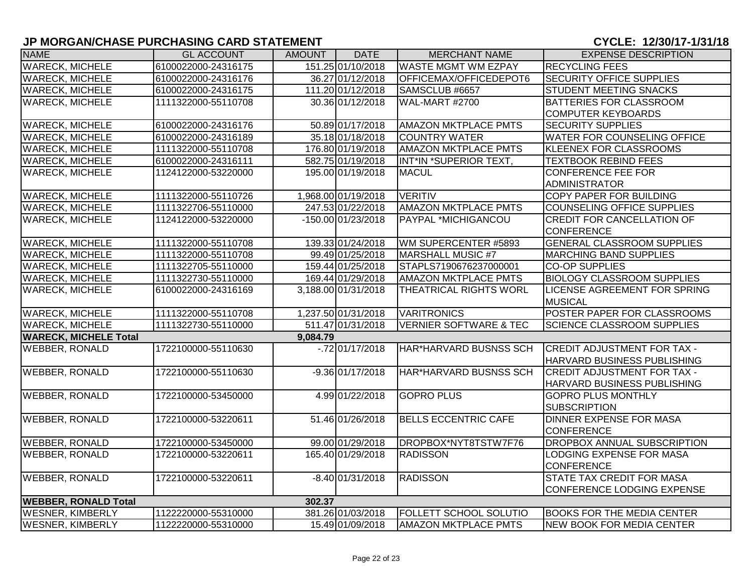| <b>NAME</b>                  | <b>GL ACCOUNT</b>   | <b>AMOUNT</b> | <b>DATE</b>          | <b>MERCHANT NAME</b>              | <b>EXPENSE DESCRIPTION</b>          |
|------------------------------|---------------------|---------------|----------------------|-----------------------------------|-------------------------------------|
| <b>WARECK, MICHELE</b>       | 6100022000-24316175 |               | 151.25 01/10/2018    | <b>WASTE MGMT WM EZPAY</b>        | <b>RECYCLING FEES</b>               |
| <b>WARECK, MICHELE</b>       | 6100022000-24316176 |               | 36.27 01/12/2018     | OFFICEMAX/OFFICEDEPOT6            | <b>SECURITY OFFICE SUPPLIES</b>     |
| <b>WARECK, MICHELE</b>       | 6100022000-24316175 |               | 111.20 01/12/2018    | SAMSCLUB #6657                    | <b>STUDENT MEETING SNACKS</b>       |
| <b>WARECK, MICHELE</b>       | 1111322000-55110708 |               | 30.36 01/12/2018     | <b>WAL-MART #2700</b>             | <b>BATTERIES FOR CLASSROOM</b>      |
|                              |                     |               |                      |                                   | <b>COMPUTER KEYBOARDS</b>           |
| <b>WARECK, MICHELE</b>       | 6100022000-24316176 |               | 50.89 01/17/2018     | <b>AMAZON MKTPLACE PMTS</b>       | <b>SECURITY SUPPLIES</b>            |
| <b>WARECK, MICHELE</b>       | 6100022000-24316189 |               | 35.18 01/18/2018     | <b>COUNTRY WATER</b>              | <b>WATER FOR COUNSELING OFFICE</b>  |
| <b>WARECK, MICHELE</b>       | 1111322000-55110708 |               | 176.80 01/19/2018    | <b>AMAZON MKTPLACE PMTS</b>       | <b>KLEENEX FOR CLASSROOMS</b>       |
| <b>WARECK, MICHELE</b>       | 6100022000-24316111 |               | 582.75 01/19/2018    | INT*IN *SUPERIOR TEXT,            | <b>TEXTBOOK REBIND FEES</b>         |
| <b>WARECK, MICHELE</b>       | 1124122000-53220000 |               | 195.00 01/19/2018    | <b>MACUL</b>                      | <b>CONFERENCE FEE FOR</b>           |
|                              |                     |               |                      |                                   | <b>ADMINISTRATOR</b>                |
| <b>WARECK, MICHELE</b>       | 1111322000-55110726 |               | 1,968.00 01/19/2018  | <b>VERITIV</b>                    | <b>COPY PAPER FOR BUILDING</b>      |
| <b>WARECK, MICHELE</b>       | 1111322706-55110000 |               | 247.53 01/22/2018    | <b>AMAZON MKTPLACE PMTS</b>       | <b>COUNSELING OFFICE SUPPLIES</b>   |
| <b>WARECK, MICHELE</b>       | 1124122000-53220000 |               | $-150.00001/23/2018$ | PAYPAL *MICHIGANCOU               | <b>CREDIT FOR CANCELLATION OF</b>   |
|                              |                     |               |                      |                                   | <b>CONFERENCE</b>                   |
| <b>WARECK, MICHELE</b>       | 1111322000-55110708 |               | 139.33 01/24/2018    | WM SUPERCENTER #5893              | <b>GENERAL CLASSROOM SUPPLIES</b>   |
| <b>WARECK, MICHELE</b>       | 1111322000-55110708 |               | 99.49 01/25/2018     | MARSHALL MUSIC #7                 | <b>MARCHING BAND SUPPLIES</b>       |
| <b>WARECK, MICHELE</b>       | 1111322705-55110000 |               | 159.44 01/25/2018    | STAPLS7190676237000001            | <b>CO-OP SUPPLIES</b>               |
| <b>WARECK, MICHELE</b>       | 1111322730-55110000 |               | 169.44 01/29/2018    | <b>AMAZON MKTPLACE PMTS</b>       | <b>BIOLOGY CLASSROOM SUPPLIES</b>   |
| <b>WARECK, MICHELE</b>       | 6100022000-24316169 |               | 3,188.00 01/31/2018  | THEATRICAL RIGHTS WORL            | <b>LICENSE AGREEMENT FOR SPRING</b> |
|                              |                     |               |                      |                                   | <b>MUSICAL</b>                      |
| <b>WARECK, MICHELE</b>       | 1111322000-55110708 |               | 1,237.50 01/31/2018  | <b>VARITRONICS</b>                | POSTER PAPER FOR CLASSROOMS         |
| <b>WARECK, MICHELE</b>       | 1111322730-55110000 |               | 511.47 01/31/2018    | <b>VERNIER SOFTWARE &amp; TEC</b> | <b>SCIENCE CLASSROOM SUPPLIES</b>   |
| <b>WARECK, MICHELE Total</b> |                     | 9,084.79      |                      |                                   |                                     |
| <b>WEBBER, RONALD</b>        | 1722100000-55110630 |               | $-72$ 01/17/2018     | HAR*HARVARD BUSNSS SCH            | <b>CREDIT ADJUSTMENT FOR TAX -</b>  |
|                              |                     |               |                      |                                   | <b>HARVARD BUSINESS PUBLISHING</b>  |
| <b>WEBBER, RONALD</b>        | 1722100000-55110630 |               | $-9.36 01/17/2018$   | HAR*HARVARD BUSNSS SCH            | <b>CREDIT ADJUSTMENT FOR TAX -</b>  |
|                              |                     |               |                      |                                   | HARVARD BUSINESS PUBLISHING         |
| <b>WEBBER, RONALD</b>        | 1722100000-53450000 |               | 4.99 01/22/2018      | <b>GOPRO PLUS</b>                 | <b>GOPRO PLUS MONTHLY</b>           |
|                              |                     |               |                      |                                   | <b>SUBSCRIPTION</b>                 |
| <b>WEBBER, RONALD</b>        | 1722100000-53220611 |               | 51.46 01/26/2018     | <b>BELLS ECCENTRIC CAFE</b>       | <b>DINNER EXPENSE FOR MASA</b>      |
|                              |                     |               |                      |                                   | <b>CONFERENCE</b>                   |
| <b>WEBBER, RONALD</b>        | 1722100000-53450000 |               | 99.00 01/29/2018     | DROPBOX*NYT8TSTW7F76              | <b>DROPBOX ANNUAL SUBSCRIPTION</b>  |
| <b>WEBBER, RONALD</b>        | 1722100000-53220611 |               | 165.40 01/29/2018    | <b>RADISSON</b>                   | LODGING EXPENSE FOR MASA            |
|                              |                     |               |                      |                                   | <b>CONFERENCE</b>                   |
| <b>WEBBER, RONALD</b>        | 1722100000-53220611 |               | $-8.40$ 01/31/2018   | <b>RADISSON</b>                   | <b>STATE TAX CREDIT FOR MASA</b>    |
|                              |                     |               |                      |                                   | CONFERENCE LODGING EXPENSE          |
| <b>WEBBER, RONALD Total</b>  |                     | 302.37        |                      |                                   |                                     |
| <b>WESNER, KIMBERLY</b>      | 1122220000-55310000 |               | 381.26 01/03/2018    | FOLLETT SCHOOL SOLUTIO            | <b>BOOKS FOR THE MEDIA CENTER</b>   |
| <b>WESNER, KIMBERLY</b>      | 1122220000-55310000 |               | 15.49 01/09/2018     | <b>AMAZON MKTPLACE PMTS</b>       | NEW BOOK FOR MEDIA CENTER           |